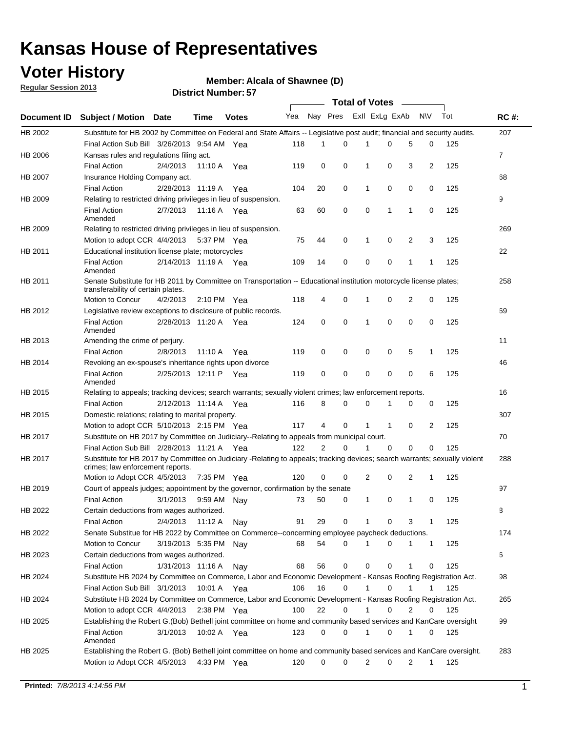## **Voter History**

**Member: Alcala of Shawnee (D)** 

**Regular Session 2013**

|                    |                                                                                                                                                                |                       | וט הסעוווטרו ועוווסוע |              |              |    | Total of Votes – |                |              |                |                |     |                |
|--------------------|----------------------------------------------------------------------------------------------------------------------------------------------------------------|-----------------------|-----------------------|--------------|--------------|----|------------------|----------------|--------------|----------------|----------------|-----|----------------|
| <b>Document ID</b> | <b>Subject / Motion Date</b>                                                                                                                                   |                       | Time                  | <b>Votes</b> | Yea Nay Pres |    |                  | Exll ExLg ExAb |              |                | <b>NV</b>      | Tot | <b>RC#:</b>    |
| HB 2002            | Substitute for HB 2002 by Committee on Federal and State Affairs -- Legislative post audit; financial and security audits.                                     |                       |                       |              |              |    |                  |                |              |                |                |     | 207            |
|                    | Final Action Sub Bill 3/26/2013 9:54 AM Yea                                                                                                                    |                       |                       |              | 118          | 1  | $\Omega$         |                | 0            | 5              | 0              | 125 |                |
| HB 2006            | Kansas rules and regulations filing act.                                                                                                                       |                       |                       |              |              |    |                  |                |              |                |                |     | $\overline{7}$ |
|                    | <b>Final Action</b>                                                                                                                                            | 2/4/2013              | 11:10 A Yea           |              | 119          | 0  | 0                | 1              | 0            | 3              | $\overline{2}$ | 125 |                |
| HB 2007            | Insurance Holding Company act.                                                                                                                                 |                       |                       |              |              |    |                  |                |              |                |                |     | 68             |
|                    | <b>Final Action</b>                                                                                                                                            | 2/28/2013 11:19 A     |                       | Yea          | 104          | 20 | 0                | 1              | 0            | 0              | 0              | 125 |                |
| HB 2009            | Relating to restricted driving privileges in lieu of suspension.                                                                                               |                       |                       |              |              |    |                  |                |              |                |                |     | 9              |
|                    | <b>Final Action</b><br>Amended                                                                                                                                 | 2/7/2013              | 11:16 A Yea           |              | 63           | 60 | 0                | 0              | 1            | 1              | 0              | 125 |                |
| HB 2009            | Relating to restricted driving privileges in lieu of suspension.                                                                                               |                       |                       |              |              |    |                  |                |              |                |                |     | 269            |
|                    | Motion to adopt CCR 4/4/2013                                                                                                                                   |                       | 5:37 PM Yea           |              | 75           | 44 | 0                | 1              | 0            | 2              | 3              | 125 |                |
| HB 2011            | Educational institution license plate; motorcycles                                                                                                             |                       |                       |              |              |    |                  |                |              |                |                |     | 22             |
|                    | <b>Final Action</b><br>Amended                                                                                                                                 | 2/14/2013 11:19 A Yea |                       |              | 109          | 14 | 0                | 0              | 0            | 1              | 1              | 125 |                |
| HB 2011            | Senate Substitute for HB 2011 by Committee on Transportation -- Educational institution motorcycle license plates;                                             |                       |                       |              |              |    |                  |                |              |                |                |     | 258            |
|                    | transferability of certain plates.                                                                                                                             |                       |                       |              |              |    |                  |                |              |                |                |     |                |
|                    | Motion to Concur                                                                                                                                               | 4/2/2013              | $2:10 \text{ PM}$ Yea |              | 118          | 4  | 0                | $\mathbf 1$    | 0            | $\overline{2}$ | 0              | 125 |                |
| HB 2012            | Legislative review exceptions to disclosure of public records.                                                                                                 |                       |                       |              |              |    |                  |                |              |                |                |     | 69             |
|                    | <b>Final Action</b><br>Amended                                                                                                                                 | 2/28/2013 11:20 A Yea |                       |              | 124          | 0  | 0                | 1              | 0            | 0              | 0              | 125 |                |
| HB 2013            | Amending the crime of perjury.                                                                                                                                 |                       |                       |              |              |    |                  |                |              |                |                |     | 11             |
|                    | <b>Final Action</b>                                                                                                                                            | 2/8/2013              | 11:10 A               | Yea          | 119          | 0  | 0                | 0              | 0            | 5              | 1              | 125 |                |
| HB 2014            | Revoking an ex-spouse's inheritance rights upon divorce                                                                                                        |                       |                       |              |              |    |                  |                |              |                |                |     | 46             |
|                    | <b>Final Action</b><br>Amended                                                                                                                                 | 2/25/2013 12:11 P     |                       | Yea          | 119          | 0  | $\mathbf 0$      | 0              | 0            | 0              | 6              | 125 |                |
| HB 2015            | Relating to appeals; tracking devices; search warrants; sexually violent crimes; law enforcement reports.                                                      |                       |                       |              |              |    |                  |                |              |                |                |     | 16             |
|                    | <b>Final Action</b>                                                                                                                                            | 2/12/2013 11:14 A     |                       | Yea          | 116          | 8  | 0                | 0              | 1            | 0              | 0              | 125 |                |
| HB 2015            | Domestic relations; relating to marital property.                                                                                                              |                       |                       |              |              |    |                  |                |              |                |                |     | 307            |
|                    | Motion to adopt CCR 5/10/2013 2:15 PM Yea                                                                                                                      |                       |                       |              | 117          | 4  | 0                | $\mathbf{1}$   | $\mathbf{1}$ | 0              | 2              | 125 |                |
| HB 2017            | Substitute on HB 2017 by Committee on Judiciary--Relating to appeals from municipal court.                                                                     |                       |                       |              |              |    |                  |                |              |                |                |     | 70             |
|                    | Final Action Sub Bill 2/28/2013 11:21 A Yea                                                                                                                    |                       |                       |              | 122          | 2  | 0                | 1              | 0            | 0              | 0              | 125 |                |
| HB 2017            | Substitute for HB 2017 by Committee on Judiciary -Relating to appeals; tracking devices; search warrants; sexually violent<br>crimes; law enforcement reports. |                       |                       |              |              |    |                  |                |              |                |                |     | 288            |
|                    | Motion to Adopt CCR 4/5/2013                                                                                                                                   |                       | 7:35 PM Yea           |              | 120          | 0  | 0                | 2              | 0            | 2              | 1              | 125 |                |
| HB 2019            | Court of appeals judges; appointment by the governor, confirmation by the senate                                                                               |                       |                       |              |              |    |                  |                |              |                |                |     | 97             |
|                    | Final Action                                                                                                                                                   | 3/1/2013              | 9:59 AM Nay           |              | 73           | 50 | 0                | 1              | 0            | 1              | 0              | 125 |                |
| HB 2022            | Certain deductions from wages authorized.                                                                                                                      |                       |                       |              |              |    |                  |                |              |                |                |     | 8              |
|                    | <b>Final Action</b>                                                                                                                                            | 2/4/2013              | 11:12 A               | Nav          | 91           | 29 | 0                |                | 0            | 3              | 1              | 125 |                |
| HB 2022            | Senate Substitue for HB 2022 by Committee on Commerce--concerming employee paycheck deductions.                                                                |                       |                       |              |              |    |                  |                |              |                |                |     | 174            |
|                    | Motion to Concur                                                                                                                                               | 3/19/2013 5:35 PM Nav |                       |              | 68           | 54 | 0                | 1              | 0            | 1              | $\mathbf{1}$   | 125 |                |
| HB 2023            | Certain deductions from wages authorized.                                                                                                                      |                       |                       |              |              |    |                  |                |              |                |                |     | 6              |
|                    | <b>Final Action</b>                                                                                                                                            | 1/31/2013 11:16 A     |                       | Nay          | 68           | 56 | 0                | 0              | 0            | 1              | 0              | 125 |                |
| HB 2024            | Substitute HB 2024 by Committee on Commerce, Labor and Economic Development - Kansas Roofing Registration Act.                                                 |                       |                       |              |              |    |                  |                |              |                |                |     | 98             |
|                    | Final Action Sub Bill 3/1/2013                                                                                                                                 |                       | 10:01 A Yea           |              | 106          | 16 | 0                | 1              | 0            | 1              | 1              | 125 |                |
| HB 2024            | Substitute HB 2024 by Committee on Commerce, Labor and Economic Development - Kansas Roofing Registration Act.                                                 |                       |                       |              |              |    |                  |                |              |                |                |     | 265            |
|                    | Motion to adopt CCR 4/4/2013                                                                                                                                   |                       | 2:38 PM Yea           |              | 100          | 22 | 0                | 1              | 0            | 2              | 0              | 125 |                |
| HB 2025            | Establishing the Robert G.(Bob) Bethell joint committee on home and community based services and KanCare oversight                                             |                       |                       |              |              |    |                  |                |              |                |                |     | 99             |
|                    | <b>Final Action</b><br>Amended                                                                                                                                 | 3/1/2013              | 10:02 A Yea           |              | 123          | 0  | 0                | $\mathbf{1}$   | 0            | 1              | 0              | 125 |                |
| HB 2025            | Establishing the Robert G. (Bob) Bethell joint committee on home and community based services and KanCare oversight.                                           |                       |                       |              |              |    |                  |                |              |                |                |     | 283            |
|                    | Motion to Adopt CCR 4/5/2013                                                                                                                                   |                       | 4:33 PM Yea           |              | 120          | 0  | 0                | 2              | 0            | 2              | $\mathbf{1}$   | 125 |                |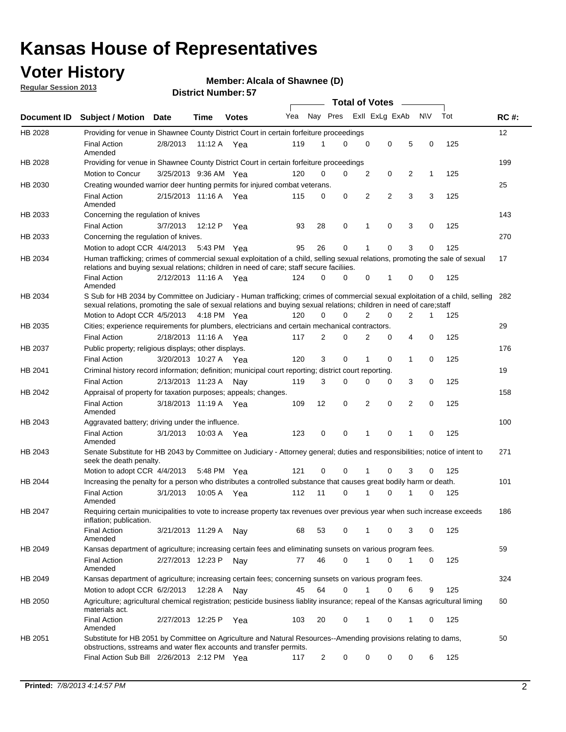## **Voter History**

**Regular Session 2013**

### **Member: Alcala of Shawnee (D)**

|                    |                                                                                                                                                                                                                                                        |                       | וט ו וסעווואז ו או ווסוש |              |     |                | <b>Total of Votes</b> |                |                |   |              |     |             |
|--------------------|--------------------------------------------------------------------------------------------------------------------------------------------------------------------------------------------------------------------------------------------------------|-----------------------|--------------------------|--------------|-----|----------------|-----------------------|----------------|----------------|---|--------------|-----|-------------|
| <b>Document ID</b> | <b>Subject / Motion Date</b>                                                                                                                                                                                                                           |                       | Time                     | <b>Votes</b> | Yea | Nay Pres       |                       |                | Exll ExLg ExAb |   | <b>NV</b>    | Tot | <b>RC#:</b> |
| HB 2028            | Providing for venue in Shawnee County District Court in certain forfeiture proceedings                                                                                                                                                                 |                       |                          |              |     |                |                       |                |                |   |              |     | 12          |
|                    | <b>Final Action</b><br>Amended                                                                                                                                                                                                                         | 2/8/2013              | 11:12 A Yea              |              | 119 | 1              | 0                     | $\mathbf 0$    | $\mathbf 0$    | 5 | 0            | 125 |             |
| HB 2028            | Providing for venue in Shawnee County District Court in certain forfeiture proceedings                                                                                                                                                                 |                       |                          |              |     |                |                       |                |                |   |              |     | 199         |
|                    | Motion to Concur                                                                                                                                                                                                                                       | 3/25/2013 9:36 AM Yea |                          |              | 120 | 0              | 0                     | 2              | 0              | 2 | $\mathbf{1}$ | 125 |             |
| HB 2030            | Creating wounded warrior deer hunting permits for injured combat veterans.                                                                                                                                                                             |                       |                          |              |     |                |                       |                |                |   |              |     | 25          |
|                    | <b>Final Action</b><br>Amended                                                                                                                                                                                                                         | 2/15/2013 11:16 A     |                          | Yea          | 115 | 0              | 0                     | 2              | $\overline{2}$ | 3 | 3            | 125 |             |
| HB 2033            | Concerning the regulation of knives                                                                                                                                                                                                                    |                       |                          |              |     |                |                       |                |                |   |              |     | 143         |
|                    | <b>Final Action</b>                                                                                                                                                                                                                                    | 3/7/2013              | 12:12 P                  | Yea          | 93  | 28             | 0                     | 1              | $\mathbf 0$    | 3 | 0            | 125 |             |
| HB 2033            | Concerning the regulation of knives.                                                                                                                                                                                                                   |                       |                          |              |     |                |                       |                |                |   |              |     | 270         |
|                    | Motion to adopt CCR 4/4/2013 5:43 PM Yea                                                                                                                                                                                                               |                       |                          |              | 95  | 26             | 0                     | 1              | 0              | 3 | 0            | 125 |             |
| HB 2034            | Human trafficking; crimes of commercial sexual exploitation of a child, selling sexual relations, promoting the sale of sexual<br>relations and buying sexual relations; children in need of care; staff secure faciliies.                             |                       |                          |              |     |                |                       |                |                |   |              |     | 17          |
|                    | <b>Final Action</b><br>Amended                                                                                                                                                                                                                         | 2/12/2013 11:16 A Yea |                          |              | 124 | 0              | 0                     | 0              | 1              | 0 | 0            | 125 |             |
| HB 2034            | S Sub for HB 2034 by Committee on Judiciary - Human trafficking; crimes of commercial sexual exploitation of a child, selling<br>sexual relations, promoting the sale of sexual relations and buying sexual relations; children in need of care; staff |                       |                          |              |     |                |                       |                |                |   |              |     | 282         |
|                    | Motion to Adopt CCR 4/5/2013 4:18 PM Yea                                                                                                                                                                                                               |                       |                          |              | 120 | 0              | 0                     | $\overline{2}$ | 0              | 2 | 1            | 125 |             |
| HB 2035            | Cities; experience requirements for plumbers, electricians and certain mechanical contractors.                                                                                                                                                         |                       |                          |              |     |                |                       |                |                |   |              |     | 29          |
|                    | <b>Final Action</b>                                                                                                                                                                                                                                    | 2/18/2013 11:16 A     |                          | Yea          | 117 | 2              | 0                     | 2              | 0              | 4 | 0            | 125 |             |
| HB 2037            | Public property; religious displays; other displays.                                                                                                                                                                                                   |                       |                          |              |     |                |                       |                |                |   |              |     | 176         |
|                    | <b>Final Action</b>                                                                                                                                                                                                                                    | 3/20/2013 10:27 A     |                          | Yea          | 120 | 3              | 0                     | 1              | 0              | 1 | 0            | 125 |             |
| HB 2041            | Criminal history record information; definition; municipal court reporting; district court reporting.                                                                                                                                                  |                       |                          |              |     |                |                       |                |                |   |              |     | 19          |
|                    | <b>Final Action</b>                                                                                                                                                                                                                                    | 2/13/2013 11:23 A     |                          | Nav          | 119 | 3              | 0                     | 0              | 0              | 3 | 0            | 125 |             |
| HB 2042            | Appraisal of property for taxation purposes; appeals; changes.                                                                                                                                                                                         |                       |                          |              |     |                |                       |                |                |   |              |     | 158         |
|                    | <b>Final Action</b><br>Amended                                                                                                                                                                                                                         | 3/18/2013 11:19 A     |                          | Yea          | 109 | 12             | 0                     | 2              | 0              | 2 | 0            | 125 |             |
| HB 2043            | Aggravated battery; driving under the influence.                                                                                                                                                                                                       |                       |                          |              |     |                |                       |                |                |   |              |     | 100         |
|                    | <b>Final Action</b><br>Amended                                                                                                                                                                                                                         | 3/1/2013              | 10:03 A Yea              |              | 123 | 0              | 0                     | 1              | 0              | 1 | 0            | 125 |             |
| HB 2043            | Senate Substitute for HB 2043 by Committee on Judiciary - Attorney general; duties and responsibilities; notice of intent to<br>seek the death penalty.                                                                                                |                       |                          |              |     |                |                       |                |                |   |              |     | 271         |
|                    | Motion to adopt CCR 4/4/2013                                                                                                                                                                                                                           |                       | 5:48 PM                  | Yea          | 121 | 0              | 0                     |                | 0              | 3 | 0            | 125 |             |
| HB 2044            | Increasing the penalty for a person who distributes a controlled substance that causes great bodily harm or death.                                                                                                                                     |                       |                          |              |     |                |                       |                |                |   |              |     | 101         |
|                    | <b>Final Action</b><br>Amended                                                                                                                                                                                                                         | 3/1/2013              | 10:05 A                  | Yea          | 112 | 11             | $\Omega$              |                | $\Omega$       |   | 0            | 125 |             |
| HB 2047            | Requiring certain municipalities to vote to increase property tax revenues over previous year when such increase exceeds<br>inflation; publication.                                                                                                    |                       |                          |              |     |                |                       |                |                |   |              |     | 186         |
|                    | <b>Final Action</b><br>Amended                                                                                                                                                                                                                         | 3/21/2013 11:29 A     |                          | Nay          | 68  | 53             | 0                     | 1              | 0              | 3 | 0            | 125 |             |
| HB 2049            | Kansas department of agriculture; increasing certain fees and eliminating sunsets on various program fees.                                                                                                                                             |                       |                          |              |     |                |                       |                |                |   |              |     | 59          |
|                    | <b>Final Action</b><br>Amended                                                                                                                                                                                                                         | 2/27/2013 12:23 P     |                          | Nay          | 77  | 46             | 0                     | 1              | 0              | 1 | 0            | 125 |             |
| HB 2049            | Kansas department of agriculture; increasing certain fees; concerning sunsets on various program fees.                                                                                                                                                 |                       |                          |              |     |                |                       |                |                |   |              |     | 324         |
|                    | Motion to adopt CCR 6/2/2013                                                                                                                                                                                                                           |                       | 12:28 A                  | Nay          | 45  | 64             | 0                     | 1              | 0              | 6 | 9            | 125 |             |
| HB 2050            | Agriculture; agricultural chemical registration; pesticide business liablity insurance; repeal of the Kansas agricultural liming<br>materials act.                                                                                                     |                       |                          |              |     |                |                       |                |                |   |              |     | 60          |
|                    | Final Action<br>Amended                                                                                                                                                                                                                                | 2/27/2013 12:25 P     |                          | Yea          | 103 | 20             | 0                     | 1              | 0              | 1 | 0            | 125 |             |
| HB 2051            | Substitute for HB 2051 by Committee on Agriculture and Natural Resources--Amending provisions relating to dams,<br>obstructions, sstreams and water flex accounts and transfer permits.                                                                |                       |                          |              |     |                |                       |                |                |   |              |     | 50          |
|                    | Final Action Sub Bill 2/26/2013 2:12 PM Yea                                                                                                                                                                                                            |                       |                          |              | 117 | $\overline{c}$ | 0                     | 0              | 0              | 0 | 6            | 125 |             |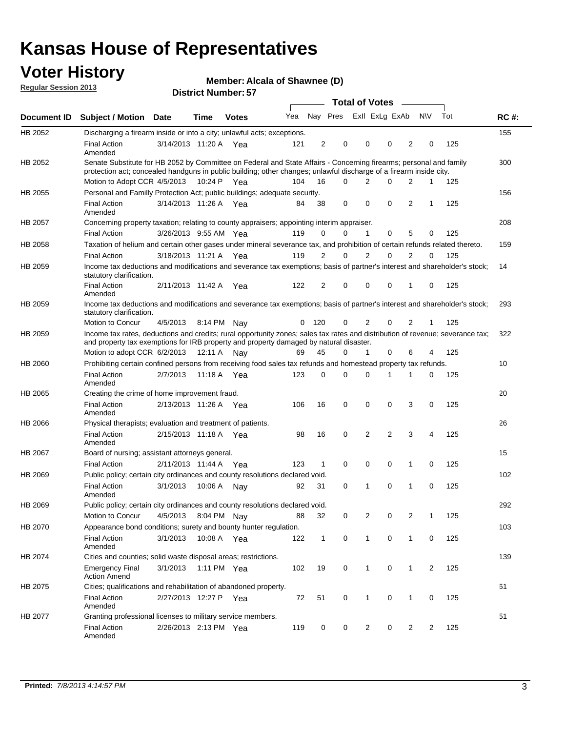## **Voter History**

**Member: Alcala of Shawnee (D)** 

**Regular Session 2013**

|                |                                                                                                                                                                                                                                          |                       |             | וט ו וטעווווטדו וטוש |     |                |          | <b>Total of Votes</b> | $\sim$         |                |                |     |             |
|----------------|------------------------------------------------------------------------------------------------------------------------------------------------------------------------------------------------------------------------------------------|-----------------------|-------------|----------------------|-----|----------------|----------|-----------------------|----------------|----------------|----------------|-----|-------------|
| Document ID    | <b>Subject / Motion Date</b>                                                                                                                                                                                                             |                       | <b>Time</b> | <b>Votes</b>         | Yea |                | Nay Pres | Exll ExLg ExAb        |                |                | <b>NV</b>      | Tot | <b>RC#:</b> |
| HB 2052        | Discharging a firearm inside or into a city; unlawful acts; exceptions.                                                                                                                                                                  |                       |             |                      |     |                |          |                       |                |                |                |     | 155         |
|                | <b>Final Action</b><br>Amended                                                                                                                                                                                                           | 3/14/2013 11:20 A Yea |             |                      | 121 | $\overline{2}$ | 0        | 0                     | 0              | 2              | 0              | 125 |             |
| HB 2052        | Senate Substitute for HB 2052 by Committee on Federal and State Affairs - Concerning firearms; personal and family<br>protection act; concealed handguns in public building; other changes; unlawful discharge of a firearm inside city. |                       |             |                      |     |                |          |                       |                |                |                |     | 300         |
|                | Motion to Adopt CCR 4/5/2013 10:24 P Yea                                                                                                                                                                                                 |                       |             |                      | 104 | 16             | $\Omega$ | 2                     | 0              | 2              | 1              | 125 |             |
| HB 2055        | Personal and Familly Protection Act; public buildings; adequate security.                                                                                                                                                                |                       |             |                      |     |                |          |                       |                |                |                |     | 156         |
|                | <b>Final Action</b><br>Amended                                                                                                                                                                                                           | 3/14/2013 11:26 A Yea |             |                      | 84  | 38             | 0        | 0                     | 0              | 2              | 1              | 125 |             |
| HB 2057        | Concerning property taxation; relating to county appraisers; appointing interim appraiser.                                                                                                                                               |                       |             |                      |     |                |          |                       |                |                |                |     | 208         |
|                | <b>Final Action</b>                                                                                                                                                                                                                      | 3/26/2013 9:55 AM Yea |             |                      | 119 | 0              | 0        | $\mathbf{1}$          | 0              | 5              | 0              | 125 |             |
| HB 2058        | Taxation of helium and certain other gases under mineral severance tax, and prohibition of certain refunds related thereto.                                                                                                              |                       |             |                      |     |                |          |                       |                |                |                |     | 159         |
|                | <b>Final Action</b>                                                                                                                                                                                                                      | 3/18/2013 11:21 A Yea |             |                      | 119 | 2              | 0        | $\overline{2}$        | $\Omega$       | 2              | $\Omega$       | 125 |             |
| HB 2059        | Income tax deductions and modifications and severance tax exemptions; basis of partner's interest and shareholder's stock;<br>statutory clarification.                                                                                   |                       |             |                      |     |                |          |                       |                |                |                |     | 14          |
|                | <b>Final Action</b><br>Amended                                                                                                                                                                                                           | 2/11/2013 11:42 A     |             | Yea                  | 122 | 2              | 0        | 0                     | 0              | 1              | 0              | 125 |             |
| HB 2059        | Income tax deductions and modifications and severance tax exemptions; basis of partner's interest and shareholder's stock;<br>statutory clarification.                                                                                   |                       |             |                      |     |                |          |                       |                |                |                |     | 293         |
|                | Motion to Concur                                                                                                                                                                                                                         | 4/5/2013              | 8:14 PM     | Nav                  | 0   | - 120          | 0        | 2                     | 0              | $\overline{2}$ | 1              | 125 |             |
| HB 2059        | Income tax rates, deductions and credits; rural opportunity zones; sales tax rates and distribution of revenue; severance tax;<br>and property tax exemptions for IRB property and property damaged by natural disaster.                 |                       |             |                      |     |                |          |                       |                |                |                |     | 322         |
|                | Motion to adopt CCR 6/2/2013                                                                                                                                                                                                             |                       | 12:11 A     | Nav                  | 69  | 45             | 0        | $\mathbf{1}$          | $\Omega$       | 6              | 4              | 125 |             |
| HB 2060        | Prohibiting certain confined persons from receiving food sales tax refunds and homestead property tax refunds.                                                                                                                           |                       |             |                      |     |                |          |                       |                |                |                |     | 10          |
|                | <b>Final Action</b><br>Amended                                                                                                                                                                                                           | 2/7/2013              | 11:18 A     | Yea                  | 123 | $\mathbf 0$    | 0        | $\Omega$              | 1              | 1              | 0              | 125 |             |
| HB 2065        | Creating the crime of home improvement fraud.                                                                                                                                                                                            |                       |             |                      |     |                |          |                       |                |                |                |     | 20          |
|                | <b>Final Action</b><br>Amended                                                                                                                                                                                                           | 2/13/2013 11:26 A Yea |             |                      | 106 | 16             | 0        | $\mathbf 0$           | 0              | 3              | 0              | 125 |             |
| HB 2066        | Physical therapists; evaluation and treatment of patients.                                                                                                                                                                               |                       |             |                      |     |                |          |                       |                |                |                |     | 26          |
|                | <b>Final Action</b><br>Amended                                                                                                                                                                                                           | 2/15/2013 11:18 A Yea |             |                      | 98  | 16             | 0        | 2                     | $\overline{2}$ | 3              | 4              | 125 |             |
| <b>HB 2067</b> | Board of nursing; assistant attorneys general.                                                                                                                                                                                           |                       |             |                      |     |                |          |                       |                |                |                |     | 15          |
|                | <b>Final Action</b>                                                                                                                                                                                                                      | 2/11/2013 11:44 A Yea |             |                      | 123 | 1              | 0        | 0                     | 0              | 1              | 0              | 125 |             |
| HB 2069        | Public policy; certain city ordinances and county resolutions declared void.                                                                                                                                                             |                       |             |                      |     |                |          |                       |                |                |                |     | 102         |
|                | <b>Final Action</b><br>Amended                                                                                                                                                                                                           | 3/1/2013              | 10:06 A     | Nav                  | 92  | 31             | 0        | 1                     | $\Omega$       | 1              | $\mathbf 0$    | 125 |             |
| HB 2069        | Public policy; certain city ordinances and county resolutions declared void.                                                                                                                                                             |                       |             |                      |     |                |          |                       |                |                |                |     | 292         |
|                | <b>Motion to Concur</b>                                                                                                                                                                                                                  | 4/5/2013              |             | 8:04 PM Nay          | 88  | 32             | 0        | 2                     | 0              | $\overline{2}$ | 1              | 125 |             |
| HB 2070        | Appearance bond conditions; surety and bounty hunter regulation.                                                                                                                                                                         |                       |             |                      |     |                |          |                       |                |                |                |     | 103         |
|                | <b>Final Action</b><br>Amended                                                                                                                                                                                                           | 3/1/2013              |             | 10:08 A Yea          | 122 | $\mathbf{1}$   | 0        | $\mathbf{1}$          | 0              | 1              | 0              | 125 |             |
| HB 2074        | Cities and counties; solid waste disposal areas; restrictions.                                                                                                                                                                           |                       |             |                      |     |                |          |                       |                |                |                |     | 139         |
|                | <b>Emergency Final</b><br><b>Action Amend</b>                                                                                                                                                                                            | 3/1/2013              |             | 1:11 PM Yea          | 102 | 19             | 0        | 1                     | 0              | 1              | $\overline{2}$ | 125 |             |
| HB 2075        | Cities; qualifications and rehabilitation of abandoned property.                                                                                                                                                                         |                       |             |                      |     |                |          |                       |                |                |                |     | 61          |
|                | <b>Final Action</b><br>Amended                                                                                                                                                                                                           | 2/27/2013 12:27 P     |             | Yea                  | 72  | 51             | 0        | 1                     | 0              | 1              | 0              | 125 |             |
| HB 2077        | Granting professional licenses to military service members.<br><b>Final Action</b><br>Amended                                                                                                                                            | 2/26/2013 2:13 PM Yea |             |                      | 119 | 0              | 0        | $\overline{2}$        | 0              | $\overline{2}$ | 2              | 125 | 51          |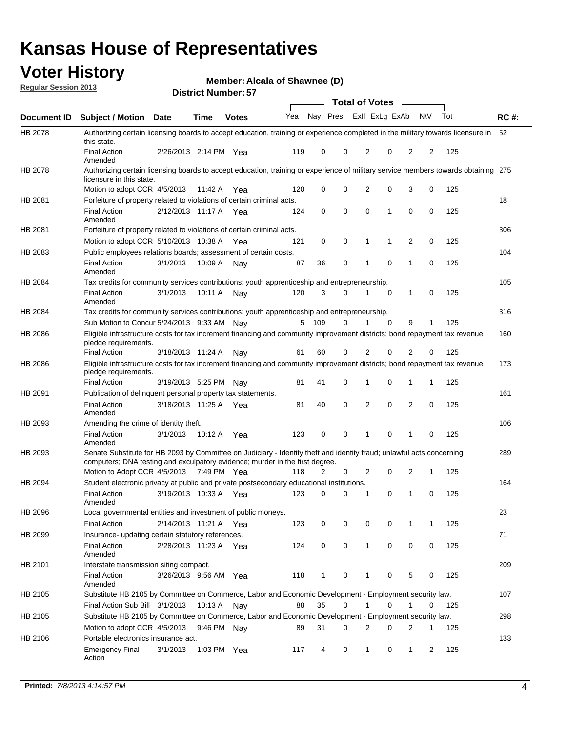## **Voter History**

**Member: Alcala of Shawnee (D)** 

**Regular Session 2013**

|             |                                                                                                                                                                                                       |                       | וט הסעוווטרו ועוווסוע |              |     |              |             | <b>Total of Votes</b> |             | $\sim$         |                |     |             |
|-------------|-------------------------------------------------------------------------------------------------------------------------------------------------------------------------------------------------------|-----------------------|-----------------------|--------------|-----|--------------|-------------|-----------------------|-------------|----------------|----------------|-----|-------------|
| Document ID | <b>Subject / Motion Date</b>                                                                                                                                                                          |                       | <b>Time</b>           | <b>Votes</b> | Yea | Nay Pres     |             | Exll ExLg ExAb        |             |                | <b>NV</b>      | Tot | <b>RC#:</b> |
| HB 2078     | Authorizing certain licensing boards to accept education, training or experience completed in the military towards licensure in<br>this state.                                                        |                       |                       |              |     |              |             |                       |             |                |                |     | 52          |
|             | <b>Final Action</b><br>Amended                                                                                                                                                                        | 2/26/2013 2:14 PM Yea |                       |              | 119 | 0            | 0           | 2                     | 0           | 2              | 2              | 125 |             |
| HB 2078     | Authorizing certain licensing boards to accept education, training or experience of military service members towards obtaining 275<br>licensure in this state.                                        |                       |                       |              |     |              |             |                       |             |                |                |     |             |
|             | Motion to adopt CCR 4/5/2013                                                                                                                                                                          |                       | 11:42 A               | Yea          | 120 | 0            | $\mathbf 0$ | $\overline{2}$        | 0           | 3              | 0              | 125 |             |
| HB 2081     | Forfeiture of property related to violations of certain criminal acts.                                                                                                                                |                       |                       |              |     |              |             |                       |             |                |                |     | 18          |
|             | <b>Final Action</b><br>Amended                                                                                                                                                                        | 2/12/2013 11:17 A Yea |                       |              | 124 | 0            | 0           | $\Omega$              | 1           | 0              | 0              | 125 |             |
| HB 2081     | Forfeiture of property related to violations of certain criminal acts.                                                                                                                                |                       |                       |              |     |              |             |                       |             |                |                |     | 306         |
|             | Motion to adopt CCR 5/10/2013 10:38 A                                                                                                                                                                 |                       |                       | Yea          | 121 | 0            | 0           | 1                     | 1           | 2              | 0              | 125 |             |
| HB 2083     | Public employees relations boards; assessment of certain costs.                                                                                                                                       |                       |                       |              |     |              |             |                       |             |                |                |     | 104         |
|             | <b>Final Action</b><br>Amended                                                                                                                                                                        | 3/1/2013              | 10:09 A               | Nay          | 87  | 36           | 0           | 1                     | 0           | 1              | 0              | 125 |             |
| HB 2084     | Tax credits for community services contributions; youth apprenticeship and entrepreneurship.                                                                                                          |                       |                       |              |     |              |             |                       |             |                |                |     | 105         |
|             | <b>Final Action</b><br>Amended                                                                                                                                                                        | 3/1/2013              | 10:11 A               | Nav          | 120 | 3            | $\Omega$    |                       | $\mathbf 0$ | $\mathbf{1}$   | 0              | 125 |             |
| HB 2084     | Tax credits for community services contributions; youth apprenticeship and entrepreneurship.                                                                                                          |                       |                       |              |     |              |             |                       |             |                |                |     | 316         |
|             | Sub Motion to Concur 5/24/2013 9:33 AM Nav                                                                                                                                                            |                       |                       |              | 5   | - 109        | $\Omega$    | 1                     | $\Omega$    | 9              | 1              | 125 |             |
| HB 2086     | Eligible infrastructure costs for tax increment financing and community improvement districts; bond repayment tax revenue<br>pledge requirements.                                                     |                       |                       |              |     |              |             |                       |             |                |                |     | 160         |
|             | <b>Final Action</b>                                                                                                                                                                                   | 3/18/2013 11:24 A     |                       | Nay          | 61  | 60           | 0           | 2                     | 0           | 2              | 0              | 125 |             |
| HB 2086     | Eligible infrastructure costs for tax increment financing and community improvement districts; bond repayment tax revenue<br>pledge requirements.                                                     |                       |                       |              |     |              |             |                       |             |                |                |     | 173         |
|             | <b>Final Action</b>                                                                                                                                                                                   | 3/19/2013 5:25 PM     |                       | Nav          | 81  | 41           | 0           | 1                     | 0           | 1              | 1              | 125 |             |
| HB 2091     | Publication of delinquent personal property tax statements.                                                                                                                                           |                       |                       |              |     |              |             |                       |             |                |                |     | 161         |
|             | <b>Final Action</b><br>Amended                                                                                                                                                                        | 3/18/2013 11:25 A     |                       | Yea          | 81  | 40           | 0           | 2                     | 0           | $\overline{2}$ | 0              | 125 |             |
| HB 2093     | Amending the crime of identity theft.                                                                                                                                                                 |                       |                       |              |     |              |             |                       |             |                |                |     | 106         |
|             | <b>Final Action</b><br>Amended                                                                                                                                                                        | 3/1/2013              | 10:12 A               | Yea          | 123 | 0            | $\Omega$    | 1                     | 0           | 1              | 0              | 125 |             |
| HB 2093     | Senate Substitute for HB 2093 by Committee on Judiciary - Identity theft and identity fraud; unlawful acts concerning<br>computers; DNA testing and exculpatory evidence; murder in the first degree. |                       |                       |              |     |              |             |                       |             |                |                |     | 289         |
|             | Motion to Adopt CCR 4/5/2013 7:49 PM Yea                                                                                                                                                              |                       |                       |              | 118 | 2            | 0           | 2                     | 0           | 2              | 1              | 125 |             |
| HB 2094     | Student electronic privacy at public and private postsecondary educational institutions.                                                                                                              |                       |                       |              |     |              |             |                       |             |                |                |     | 164         |
|             | <b>Final Action</b><br>Amended                                                                                                                                                                        | 3/19/2013 10:33 A     |                       | Yea          | 123 | 0            | 0           | 1                     | 0           | 1              | 0              | 125 |             |
| HB 2096     | Local governmental entities and investment of public moneys.                                                                                                                                          |                       |                       |              |     |              |             |                       |             |                |                |     | 23          |
|             | <b>Final Action</b>                                                                                                                                                                                   | 2/14/2013 11:21 A     |                       | Yea          | 123 | 0            | 0           | 0                     | 0           | 1              | 1              | 125 |             |
| HB 2099     | Insurance- updating certain statutory references.                                                                                                                                                     |                       |                       |              |     |              |             |                       |             |                |                |     | 71          |
|             | <b>Final Action</b><br>Amended                                                                                                                                                                        | 2/28/2013 11:23 A     |                       | Yea          | 124 | 0            | 0           | 1                     | 0           | 0              | 0              | 125 |             |
| HB 2101     | Interstate transmission siting compact.                                                                                                                                                               |                       |                       |              |     |              |             |                       |             |                |                |     | 209         |
|             | <b>Final Action</b><br>Amended                                                                                                                                                                        | 3/26/2013 9:56 AM Yea |                       |              | 118 | $\mathbf{1}$ | 0           | 1                     | 0           | 5              | 0              | 125 |             |
| HB 2105     | Substitute HB 2105 by Committee on Commerce, Labor and Economic Development - Employment security law.                                                                                                |                       |                       |              |     |              |             |                       |             |                |                |     | 107         |
|             | Final Action Sub Bill 3/1/2013                                                                                                                                                                        |                       | 10:13 A Nay           |              | 88  | 35           | 0           |                       | 0           | 1              | 0              | 125 |             |
| HB 2105     | Substitute HB 2105 by Committee on Commerce, Labor and Economic Development - Employment security law.                                                                                                |                       |                       |              |     |              |             |                       |             |                |                |     | 298         |
|             | Motion to adopt CCR 4/5/2013                                                                                                                                                                          |                       | 9:46 PM Nay           |              | 89  | 31           | 0           | 2                     | 0           | 2              | 1              | 125 |             |
| HB 2106     | Portable electronics insurance act.                                                                                                                                                                   |                       |                       |              |     |              |             |                       |             |                |                |     | 133         |
|             | <b>Emergency Final</b><br>Action                                                                                                                                                                      | 3/1/2013              | 1:03 PM Yea           |              | 117 | 4            | 0           | $\mathbf{1}$          | 0           | $\mathbf{1}$   | $\overline{2}$ | 125 |             |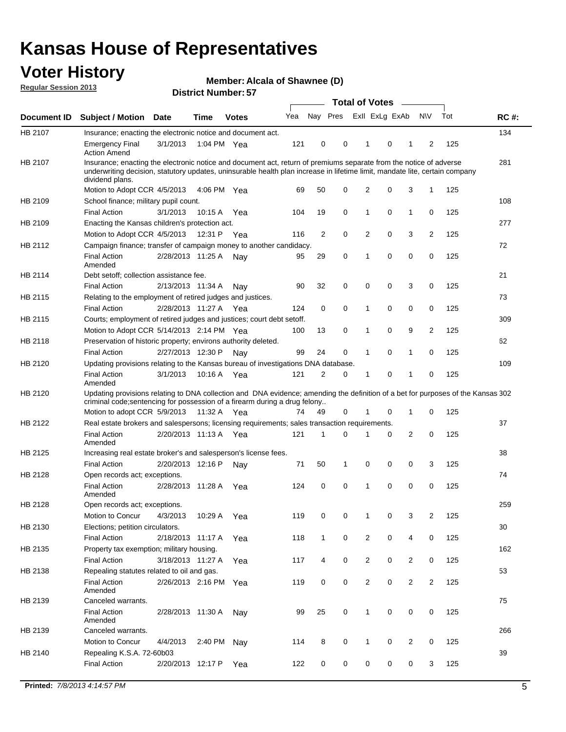## **Voter History**

**Member: Alcala of Shawnee (D)** 

**Regular Session 2013**

|             |                                                                                                                                                                                                                                                                      |                       | וט הסעוווטרו ועוווסוע |              |     |                |             | <b>Total of Votes</b> |   | $\overline{\phantom{a}}$ |                |     |             |
|-------------|----------------------------------------------------------------------------------------------------------------------------------------------------------------------------------------------------------------------------------------------------------------------|-----------------------|-----------------------|--------------|-----|----------------|-------------|-----------------------|---|--------------------------|----------------|-----|-------------|
| Document ID | <b>Subject / Motion Date</b>                                                                                                                                                                                                                                         |                       | <b>Time</b>           | <b>Votes</b> | Yea | Nay Pres       |             | Exll ExLg ExAb        |   |                          | <b>NV</b>      | Tot | <b>RC#:</b> |
| HB 2107     | Insurance; enacting the electronic notice and document act.                                                                                                                                                                                                          |                       |                       |              |     |                |             |                       |   |                          |                |     | 134         |
|             | <b>Emergency Final</b><br><b>Action Amend</b>                                                                                                                                                                                                                        | 3/1/2013              | 1:04 PM Yea           |              | 121 | 0              | 0           | 1                     | 0 | 1                        | 2              | 125 |             |
| HB 2107     | Insurance; enacting the electronic notice and document act, return of premiums separate from the notice of adverse<br>underwriting decision, statutory updates, uninsurable health plan increase in lifetime limit, mandate lite, certain company<br>dividend plans. |                       |                       |              |     |                |             |                       |   |                          |                |     | 281         |
|             | Motion to Adopt CCR 4/5/2013                                                                                                                                                                                                                                         |                       | 4:06 PM Yea           |              | 69  | 50             | 0           | 2                     | 0 | 3                        | $\mathbf{1}$   | 125 |             |
| HB 2109     | School finance; military pupil count.                                                                                                                                                                                                                                |                       |                       |              |     |                |             |                       |   |                          |                |     | 108         |
|             | <b>Final Action</b>                                                                                                                                                                                                                                                  | 3/1/2013              | 10:15A                | Yea          | 104 | 19             | 0           | 1                     | 0 | $\mathbf{1}$             | 0              | 125 |             |
| HB 2109     | Enacting the Kansas children's protection act.                                                                                                                                                                                                                       |                       |                       |              |     |                |             |                       |   |                          |                |     | 277         |
|             | Motion to Adopt CCR 4/5/2013                                                                                                                                                                                                                                         |                       | 12:31 P               | Yea          | 116 | $\overline{2}$ | 0           | 2                     | 0 | 3                        | $\overline{2}$ | 125 |             |
| HB 2112     | Campaign finance; transfer of campaign money to another candidacy.                                                                                                                                                                                                   |                       |                       |              |     |                |             |                       |   |                          |                |     | 72          |
|             | <b>Final Action</b><br>Amended                                                                                                                                                                                                                                       | 2/28/2013 11:25 A     |                       | Nay          | 95  | 29             | 0           | 1                     | 0 | 0                        | 0              | 125 |             |
| HB 2114     | Debt setoff; collection assistance fee.                                                                                                                                                                                                                              |                       |                       |              |     |                |             |                       |   |                          |                |     | 21          |
|             | <b>Final Action</b>                                                                                                                                                                                                                                                  | 2/13/2013 11:34 A     |                       | Nay          | 90  | 32             | 0           | 0                     | 0 | 3                        | 0              | 125 |             |
| HB 2115     | Relating to the employment of retired judges and justices.                                                                                                                                                                                                           |                       |                       |              |     |                |             |                       |   |                          |                |     | 73          |
|             | <b>Final Action</b>                                                                                                                                                                                                                                                  | 2/28/2013 11:27 A     |                       | Yea          | 124 | 0              | 0           | 1                     | 0 | 0                        | 0              | 125 |             |
| HB 2115     | Courts; employment of retired judges and justices; court debt setoff.                                                                                                                                                                                                |                       |                       |              |     |                |             |                       |   |                          |                |     | 309         |
|             | Motion to Adopt CCR 5/14/2013 2:14 PM Yea                                                                                                                                                                                                                            |                       |                       |              | 100 | 13             | 0           | 1                     | 0 | 9                        | $\overline{2}$ | 125 |             |
| HB 2118     | Preservation of historic property; environs authority deleted.                                                                                                                                                                                                       |                       |                       |              |     |                |             |                       |   |                          |                |     | 62          |
|             | <b>Final Action</b>                                                                                                                                                                                                                                                  | 2/27/2013 12:30 P     |                       | Nay          | 99  | 24             | 0           | 1                     | 0 | $\mathbf{1}$             | 0              | 125 |             |
| HB 2120     | Updating provisions relating to the Kansas bureau of investigations DNA database.                                                                                                                                                                                    |                       |                       |              |     |                |             |                       |   |                          |                |     | 109         |
|             | <b>Final Action</b><br>Amended                                                                                                                                                                                                                                       | 3/1/2013              | 10:16 A               | Yea          | 121 | 2              | 0           | 1                     | 0 | 1                        | 0              | 125 |             |
| HB 2120     | Updating provisions relating to DNA collection and DNA evidence; amending the definition of a bet for purposes of the Kansas 302<br>criminal code; sentencing for possession of a firearm during a drug felony                                                       |                       |                       |              |     |                |             |                       |   |                          |                |     |             |
|             | Motion to adopt CCR 5/9/2013                                                                                                                                                                                                                                         |                       | 11:32 A Yea           |              | 74  | 49             | 0           |                       | 0 | 1                        | 0              | 125 |             |
| HB 2122     | Real estate brokers and salespersons; licensing requirements; sales transaction requirements.                                                                                                                                                                        |                       |                       |              |     |                |             |                       |   |                          |                |     | 37          |
|             | <b>Final Action</b><br>Amended                                                                                                                                                                                                                                       | 2/20/2013 11:13 A Yea |                       |              | 121 | 1              | 0           |                       | 0 | 2                        | 0              | 125 |             |
| HB 2125     | Increasing real estate broker's and salesperson's license fees.                                                                                                                                                                                                      |                       |                       |              |     |                |             |                       |   |                          |                |     | 38          |
|             | <b>Final Action</b>                                                                                                                                                                                                                                                  | 2/20/2013 12:16 P     |                       | Nav          | 71  | 50             | 1           | 0                     | 0 | 0                        | 3              | 125 |             |
| HB 2128     | Open records act; exceptions.                                                                                                                                                                                                                                        |                       |                       |              |     |                |             |                       |   |                          |                |     | 74          |
|             | <b>Final Action</b><br>Amended                                                                                                                                                                                                                                       | 2/28/2013 11:28 A     |                       | Yea          | 124 | 0              | $\mathbf 0$ | 1                     | 0 | 0                        | 0              | 125 |             |
| HB 2128     | Open records act; exceptions.                                                                                                                                                                                                                                        |                       |                       |              |     |                |             |                       |   |                          |                |     | 259         |
|             | Motion to Concur                                                                                                                                                                                                                                                     | 4/3/2013              | 10:29 A               | Yea          | 119 | 0              | 0           | 1                     | 0 | 3                        | $\overline{2}$ | 125 |             |
| HB 2130     | Elections; petition circulators.                                                                                                                                                                                                                                     |                       |                       |              |     |                |             |                       |   |                          |                |     | 30          |
|             | <b>Final Action</b>                                                                                                                                                                                                                                                  | 2/18/2013 11:17 A     |                       | Yea          | 118 | $\mathbf{1}$   | 0           | $\overline{c}$        | 0 | 4                        | 0              | 125 |             |
| HB 2135     | Property tax exemption; military housing.                                                                                                                                                                                                                            |                       |                       |              |     |                |             |                       |   |                          |                |     | 162         |
|             | <b>Final Action</b>                                                                                                                                                                                                                                                  | 3/18/2013 11:27 A     |                       | Yea          | 117 | 4              | 0           | $\overline{c}$        | 0 | $\overline{2}$           | 0              | 125 |             |
| HB 2138     | Repealing statutes related to oil and gas.                                                                                                                                                                                                                           |                       |                       |              |     |                |             |                       |   |                          |                |     | 53          |
|             | <b>Final Action</b><br>Amended                                                                                                                                                                                                                                       | 2/26/2013 2:16 PM Yea |                       |              | 119 | 0              | 0           | $\overline{2}$        | 0 | $\overline{2}$           | $\overline{2}$ | 125 |             |
| HB 2139     | Canceled warrants.                                                                                                                                                                                                                                                   |                       |                       |              |     |                |             |                       |   |                          |                |     | 75          |
|             | <b>Final Action</b><br>Amended                                                                                                                                                                                                                                       | 2/28/2013 11:30 A     |                       | Nay          | 99  | 25             | 0           | 1                     | 0 | 0                        | 0              | 125 |             |
| HB 2139     | Canceled warrants.                                                                                                                                                                                                                                                   |                       |                       |              |     |                |             |                       |   |                          |                |     | 266         |
|             | Motion to Concur                                                                                                                                                                                                                                                     | 4/4/2013              | 2:40 PM               | Nay          | 114 | 8              | 0           | 1                     | 0 | 2                        | 0              | 125 |             |
| HB 2140     | Repealing K.S.A. 72-60b03                                                                                                                                                                                                                                            |                       |                       |              |     |                |             |                       |   |                          |                |     | 39          |
|             | <b>Final Action</b>                                                                                                                                                                                                                                                  | 2/20/2013 12:17 P     |                       | Yea          | 122 | 0              | 0           | 0                     | 0 | 0                        | 3              | 125 |             |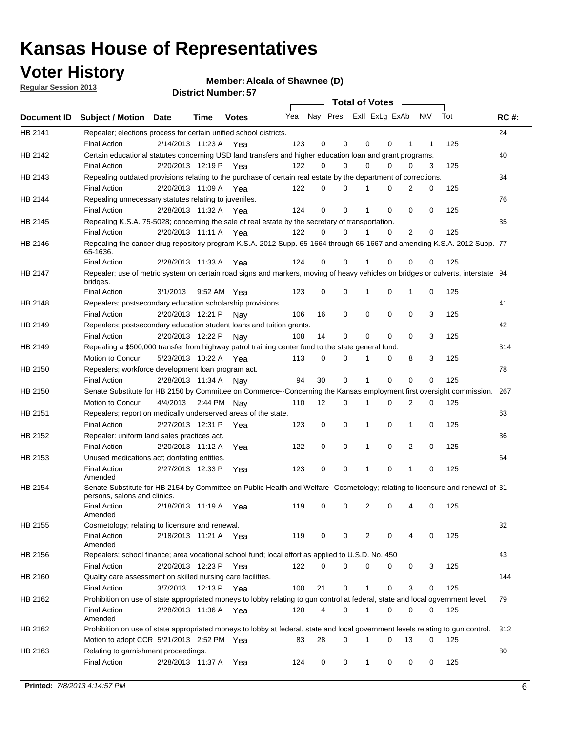## **Voter History**

**Member: Alcala of Shawnee (D)** 

**Regular Session 2013**

|                    |                                                                                                                                              |          |                       |              |     |    | <b>Total of Votes</b>   |             |          | $\sim$         |     |     |             |
|--------------------|----------------------------------------------------------------------------------------------------------------------------------------------|----------|-----------------------|--------------|-----|----|-------------------------|-------------|----------|----------------|-----|-----|-------------|
| <b>Document ID</b> | <b>Subject / Motion Date</b>                                                                                                                 |          | Time                  | <b>Votes</b> | Yea |    | Nay Pres ExII ExLg ExAb |             |          |                | N\V | Tot | <b>RC#:</b> |
| HB 2141            | Repealer; elections process for certain unified school districts.                                                                            |          |                       |              |     |    |                         |             |          |                |     |     | 24          |
|                    | <b>Final Action</b>                                                                                                                          |          | 2/14/2013 11:23 A     | Yea          | 123 | 0  | 0                       | 0           | 0        | 1              | 1   | 125 |             |
| HB 2142            | Certain educational statutes concerning USD land transfers and higher education loan and grant programs.                                     |          |                       |              |     |    |                         |             |          |                |     |     | 40          |
|                    | <b>Final Action</b>                                                                                                                          |          | 2/20/2013 12:19 P Yea |              | 122 | 0  | 0                       | 0           | $\Omega$ | 0              | 3   | 125 |             |
| HB 2143            | Repealing outdated provisions relating to the purchase of certain real estate by the department of corrections.                              |          |                       |              |     |    |                         |             |          |                |     |     | 34          |
|                    | <b>Final Action</b>                                                                                                                          |          | 2/20/2013 11:09 A Yea |              | 122 | 0  | 0                       | 1           | 0        | $\overline{2}$ | 0   | 125 |             |
| HB 2144            | Repealing unnecessary statutes relating to juveniles.                                                                                        |          |                       |              |     |    |                         |             |          |                |     |     | 76          |
|                    | <b>Final Action</b>                                                                                                                          |          | 2/28/2013 11:32 A Yea |              | 124 | 0  | 0                       | 1           | 0        | 0              | 0   | 125 |             |
| HB 2145            | Repealing K.S.A. 75-5028; concerning the sale of real estate by the secretary of transportation.                                             |          |                       |              |     |    |                         |             |          |                |     |     | 35          |
|                    | <b>Final Action</b>                                                                                                                          |          | 2/20/2013 11:11 A Yea |              | 122 | 0  | 0                       | 1           | 0        | 2              | 0   | 125 |             |
| HB 2146            | Repealing the cancer drug repository program K.S.A. 2012 Supp. 65-1664 through 65-1667 and amending K.S.A. 2012 Supp. 77<br>65-1636.         |          |                       |              |     |    |                         |             |          |                |     |     |             |
|                    | <b>Final Action</b>                                                                                                                          |          | 2/28/2013 11:33 A     | Yea          | 124 | 0  | 0                       | 1           | 0        | 0              | 0   | 125 |             |
| HB 2147            | Repealer; use of metric system on certain road signs and markers, moving of heavy vehicles on bridges or culverts, interstate 94<br>bridges. |          |                       |              |     |    |                         |             |          |                |     |     |             |
|                    | <b>Final Action</b>                                                                                                                          | 3/1/2013 |                       | 9:52 AM Yea  | 123 | 0  | 0                       |             | 0        | 1              | 0   | 125 |             |
| HB 2148            | Repealers; postsecondary education scholarship provisions.                                                                                   |          |                       |              |     |    |                         |             |          |                |     |     | 41          |
|                    | <b>Final Action</b>                                                                                                                          |          | 2/20/2013 12:21 P     | Nav          | 106 | 16 | $\mathbf 0$             | 0           | 0        | $\mathbf 0$    | 3   | 125 |             |
| HB 2149            | Repealers; postsecondary education student loans and tuition grants.                                                                         |          |                       |              |     |    |                         |             |          |                |     |     | 42          |
|                    | <b>Final Action</b>                                                                                                                          |          | 2/20/2013 12:22 P     | Nay          | 108 | 14 | 0                       | 0           | $\Omega$ | $\Omega$       | 3   | 125 |             |
| HB 2149            | Repealing a \$500,000 transfer from highway patrol training center fund to the state general fund.                                           |          |                       |              |     |    |                         |             |          |                |     |     | 314         |
|                    | Motion to Concur                                                                                                                             |          | 5/23/2013 10:22 A Yea |              | 113 | 0  | 0                       |             | 0        | 8              | 3   | 125 |             |
| HB 2150            | Repealers; workforce development loan program act.                                                                                           |          |                       |              |     |    |                         |             |          |                |     |     | 78          |
|                    | <b>Final Action</b>                                                                                                                          |          | 2/28/2013 11:34 A     | Nav          | 94  | 30 | $\mathbf 0$             | 1           | 0        | 0              | 0   | 125 |             |
| HB 2150            | Senate Substitute for HB 2150 by Committee on Commerce--Concerning the Kansas employment first oversight commission.                         |          |                       |              |     |    |                         |             |          |                |     |     | 267         |
|                    | Motion to Concur                                                                                                                             |          | 4/4/2013 2:44 PM Nay  |              | 110 | 12 | 0                       | 1           | 0        | 2              | 0   | 125 |             |
| HB 2151            | Repealers; report on medically underserved areas of the state.                                                                               |          |                       |              |     |    |                         |             |          |                |     |     | 63          |
|                    | <b>Final Action</b>                                                                                                                          |          | 2/27/2013 12:31 P     | Yea          | 123 | 0  | $\mathbf 0$             | 1           | 0        | 1              | 0   | 125 |             |
| HB 2152            | Repealer: uniform land sales practices act.                                                                                                  |          |                       |              |     |    |                         |             |          |                |     |     | 36          |
|                    | <b>Final Action</b>                                                                                                                          |          | 2/20/2013 11:12 A     | Yea          | 122 | 0  | $\mathbf 0$             | 1           | 0        | 2              | 0   | 125 |             |
| HB 2153            | Unused medications act; dontating entities.                                                                                                  |          |                       |              |     |    |                         |             |          |                |     |     | 64          |
|                    | <b>Final Action</b><br>Amended                                                                                                               |          | 2/27/2013 12:33 P     | Yea          | 123 | 0  | 0                       | 1           | 0        | 1              | 0   | 125 |             |
| HB 2154            | Senate Substitute for HB 2154 by Committee on Public Health and Welfare--Cosmetology; relating to licensure and renewal of 31                |          |                       |              |     |    |                         |             |          |                |     |     |             |
|                    | persons, salons and clinics.                                                                                                                 |          |                       |              |     |    |                         |             |          |                |     |     |             |
|                    | <b>Final Action</b><br>Amended                                                                                                               |          | 2/18/2013 11:19 A     | Yea          | 119 | 0  | 0                       | 2           | 0        | 4              | 0   | 125 |             |
| HB 2155            | Cosmetology; relating to licensure and renewal.                                                                                              |          |                       |              |     |    |                         |             |          |                |     |     | 32          |
|                    | <b>Final Action</b>                                                                                                                          |          | 2/18/2013 11:21 A Yea |              | 119 | 0  | 0                       | 2           | 0        |                | 0   | 125 |             |
| HB 2156            | Amended<br>Repealers; school finance; area vocational school fund; local effort as applied to U.S.D. No. 450                                 |          |                       |              |     |    |                         |             |          |                |     |     | 43          |
|                    |                                                                                                                                              |          | 2/20/2013 12:23 P     |              | 122 | 0  |                         |             |          |                |     |     |             |
|                    | <b>Final Action</b>                                                                                                                          |          |                       | Yea          |     |    | 0                       | 0           | 0        | 0              | 3   | 125 |             |
| HB 2160            | Quality care assessment on skilled nursing care facilities.                                                                                  |          |                       |              |     |    |                         |             |          |                |     |     | 144         |
|                    | <b>Final Action</b>                                                                                                                          | 3/7/2013 | 12:13 P               | Yea          | 100 | 21 | 0                       | 1           | 0        | 3              | 0   | 125 |             |
| HB 2162            | Prohibition on use of state appropriated moneys to lobby relating to gun control at federal, state and local ogvernment level.               |          |                       |              |     |    |                         |             |          |                |     |     | 79          |
|                    | <b>Final Action</b><br>Amended                                                                                                               |          | 2/28/2013 11:36 A Yea |              | 120 | 4  | 0                       | $\mathbf 1$ | 0        | 0              | 0   | 125 |             |
| HB 2162            | Prohibition on use of state appropriated moneys to lobby at federal, state and local government levels relating to gun control.              |          |                       |              |     |    |                         |             |          |                |     |     | 312         |
|                    | Motion to adopt CCR 5/21/2013 2:52 PM Yea                                                                                                    |          |                       |              | 83  | 28 | 0                       |             | 0        | 13             | 0   | 125 |             |
| HB 2163            | Relating to garnishment proceedings.                                                                                                         |          |                       |              |     |    |                         |             |          |                |     |     | 80          |
|                    | <b>Final Action</b>                                                                                                                          |          | 2/28/2013 11:37 A Yea |              | 124 | 0  | 0                       | $\mathbf 1$ | 0        | 0              | 0   | 125 |             |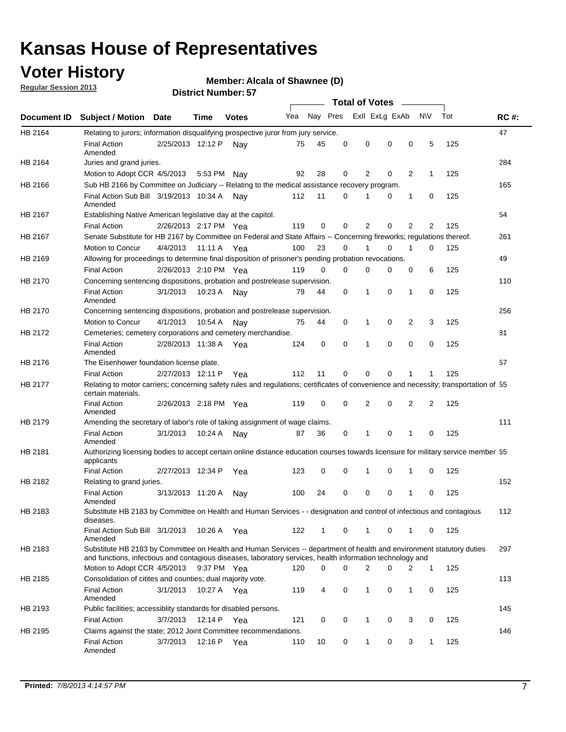## **Voter History**

**Member: Alcala of Shawnee (D)** 

**Regular Session 2013**

|             |                                                                                                                                                                                                                                    |                       | י ט . וסעווווטרו ועוווסו |              |     |          |          | <b>Total of Votes</b> |   | $\overline{\phantom{a}}$ |                |     |             |
|-------------|------------------------------------------------------------------------------------------------------------------------------------------------------------------------------------------------------------------------------------|-----------------------|--------------------------|--------------|-----|----------|----------|-----------------------|---|--------------------------|----------------|-----|-------------|
| Document ID | <b>Subject / Motion Date</b>                                                                                                                                                                                                       |                       | Time                     | <b>Votes</b> | Yea | Nay Pres |          | Exll ExLg ExAb        |   |                          | <b>NV</b>      | Tot | <b>RC#:</b> |
| HB 2164     | Relating to jurors; information disqualifying prospective juror from jury service.                                                                                                                                                 |                       |                          |              |     |          |          |                       |   |                          |                |     | 47          |
|             | <b>Final Action</b><br>Amended                                                                                                                                                                                                     | 2/25/2013 12:12 P     |                          | Nav          | 75  | 45       | 0        | 0                     | 0 | 0                        | 5              | 125 |             |
| HB 2164     | Juries and grand juries.                                                                                                                                                                                                           |                       |                          |              |     |          |          |                       |   |                          |                |     | 284         |
|             | Motion to Adopt CCR 4/5/2013                                                                                                                                                                                                       |                       | 5:53 PM Nay              |              | 92  | 28       | 0        | 2                     | 0 | $\overline{2}$           | $\mathbf{1}$   | 125 |             |
| HB 2166     | Sub HB 2166 by Committee on Judiciary -- Relating to the medical assistance recovery program.                                                                                                                                      |                       |                          |              |     |          |          |                       |   |                          |                |     | 165         |
|             | Final Action Sub Bill 3/19/2013 10:34 A<br>Amended                                                                                                                                                                                 |                       |                          | Nav          | 112 | 11       | $\Omega$ |                       | 0 | 1                        | 0              | 125 |             |
| HB 2167     | Establishing Native American legislative day at the capitol.                                                                                                                                                                       |                       |                          |              |     |          |          |                       |   |                          |                |     | 54          |
|             | <b>Final Action</b>                                                                                                                                                                                                                | 2/26/2013 2:17 PM Yea |                          |              | 119 | 0        | $\Omega$ | 2                     | 0 | $\overline{2}$           | 2              | 125 |             |
| HB 2167     | Senate Substitute for HB 2167 by Committee on Federal and State Affairs -- Concerning fireworks; regulations thereof.                                                                                                              |                       |                          |              |     |          |          |                       |   |                          |                |     | 261         |
|             | Motion to Concur                                                                                                                                                                                                                   | 4/4/2013              | 11:11 A Yea              |              | 100 | 23       | 0        | 1                     | 0 | 1                        | 0              | 125 |             |
| HB 2169     | Allowing for proceedings to determine final disposition of prisoner's pending probation revocations.                                                                                                                               |                       |                          |              |     |          |          |                       |   |                          |                |     | 49          |
|             | <b>Final Action</b>                                                                                                                                                                                                                | 2/26/2013 2:10 PM Yea |                          |              | 119 | 0        | 0        | 0                     | 0 | 0                        | 6              | 125 |             |
| HB 2170     | Concerning sentencing dispositions, probation and postrelease supervision.                                                                                                                                                         |                       |                          |              |     |          |          |                       |   |                          |                |     | 110         |
|             | <b>Final Action</b><br>Amended                                                                                                                                                                                                     | 3/1/2013              | 10:23 A                  | Nay          | 79  | 44       | 0        | 1                     | 0 | 1                        | 0              | 125 |             |
| HB 2170     | Concerning sentencing dispositions, probation and postrelease supervision.                                                                                                                                                         |                       |                          |              |     |          |          |                       |   |                          |                |     | 256         |
|             | Motion to Concur                                                                                                                                                                                                                   | 4/1/2013              | 10:54 A                  | Nay          | 75  | 44       | 0        | 1                     | 0 | $\overline{2}$           | 3              | 125 |             |
| HB 2172     | Cemeteries; cemetery corporations and cemetery merchandise.                                                                                                                                                                        |                       |                          |              |     |          |          |                       |   |                          |                |     | 81          |
|             | <b>Final Action</b><br>Amended                                                                                                                                                                                                     | 2/28/2013 11:38 A Yea |                          |              | 124 | 0        | 0        | 1                     | 0 | $\Omega$                 | 0              | 125 |             |
| HB 2176     | The Eisenhower foundation license plate.                                                                                                                                                                                           |                       |                          |              |     |          |          |                       |   |                          |                |     | 57          |
|             | <b>Final Action</b>                                                                                                                                                                                                                | 2/27/2013 12:11 P     |                          | Yea          | 112 | 11       | $\Omega$ | 0                     | 0 | 1                        | 1              | 125 |             |
| HB 2177     | Relating to motor carriers; concerning safety rules and regulations; certificates of convenience and necessity; transportation of 55<br>certain materials.                                                                         |                       |                          |              |     |          |          |                       |   |                          |                |     |             |
|             | <b>Final Action</b><br>Amended                                                                                                                                                                                                     | 2/26/2013 2:18 PM Yea |                          |              | 119 | 0        | $\Omega$ | 2                     | 0 | $\overline{2}$           | $\overline{2}$ | 125 |             |
| HB 2179     | Amending the secretary of labor's role of taking assignment of wage claims.                                                                                                                                                        |                       |                          |              |     |          |          |                       |   |                          |                |     | 111         |
|             | <b>Final Action</b><br>Amended                                                                                                                                                                                                     | 3/1/2013              | 10:24 A                  | Nav          | 87  | 36       | 0        | 1                     | 0 | 1                        | 0              | 125 |             |
| HB 2181     | Authorizing licensing bodies to accept certain online distance education courses towards licensure for military service member 55<br>applicants                                                                                    |                       |                          |              |     |          |          |                       |   |                          |                |     |             |
|             | <b>Final Action</b>                                                                                                                                                                                                                | 2/27/2013 12:34 P     |                          | Yea          | 123 | 0        | 0        |                       | 0 | 1                        | 0              | 125 |             |
| HB 2182     | Relating to grand juries.                                                                                                                                                                                                          |                       |                          |              |     |          |          |                       |   |                          |                |     | 152         |
|             | <b>Final Action</b><br>Amended                                                                                                                                                                                                     | 3/13/2013 11:20 A     |                          | Nav          | 100 | 24       | 0        | 0                     | 0 | 1                        | 0              | 125 |             |
| HB 2183     | Substitute HB 2183 by Committee on Health and Human Services - - designation and control of infectious and contagious<br>diseases.                                                                                                 |                       |                          |              |     |          |          |                       |   |                          |                |     | 112         |
|             | Final Action Sub Bill 3/1/2013<br>Amended                                                                                                                                                                                          |                       | 10:26 A Yea              |              | 122 | 1        | 0        | 1                     | 0 | 1                        | 0              | 125 |             |
| HB 2183     | Substitute HB 2183 by Committee on Health and Human Services -- department of health and environment statutory duties<br>and functions, infectious and contagious diseases, laboratory services, health information technology and |                       |                          |              |     |          |          |                       |   |                          |                |     | 297         |
|             | Motion to Adopt CCR 4/5/2013                                                                                                                                                                                                       |                       | 9:37 PM Yea              |              | 120 | 0        | 0        | 2                     | 0 | 2                        | 1              | 125 |             |
| HB 2185     | Consolidation of citites and counties; dual majority vote.                                                                                                                                                                         |                       |                          |              |     |          |          |                       |   |                          |                |     | 113         |
|             | <b>Final Action</b><br>Amended                                                                                                                                                                                                     | 3/1/2013              | 10:27 A Yea              |              | 119 | 4        | 0        | 1                     | 0 | $\mathbf{1}$             | 0              | 125 |             |
| HB 2193     | Public facilities; accessiblity standards for disabled persons.                                                                                                                                                                    |                       |                          |              |     |          |          |                       |   |                          |                |     | 145         |
|             | <b>Final Action</b>                                                                                                                                                                                                                | 3/7/2013              | 12:14 P                  | Yea          | 121 | 0        | 0        | 1                     | 0 | 3                        | 0              | 125 |             |
| HB 2195     | Claims against the state; 2012 Joint Committee recommendations.                                                                                                                                                                    |                       |                          |              |     |          |          |                       |   |                          |                |     | 146         |
|             | <b>Final Action</b><br>Amended                                                                                                                                                                                                     | 3/7/2013              | 12:16 P Yea              |              | 110 | 10       | 0        | 1                     | 0 | 3                        | 1              | 125 |             |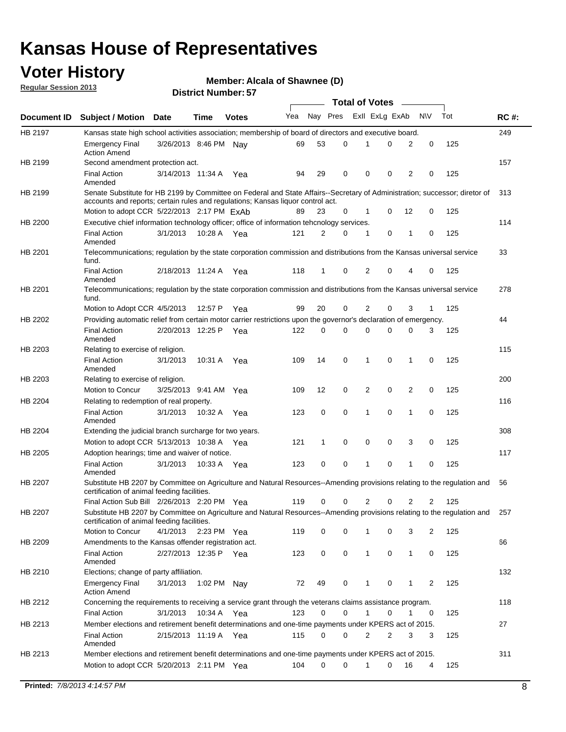## **Voter History**

**Member: Alcala of Shawnee (D)** 

**Regular Session 2013**

|                |                                                                                                                                                                         |                       |             |              |     |          |             | <b>Total of Votes</b> |             |                |             |     |             |
|----------------|-------------------------------------------------------------------------------------------------------------------------------------------------------------------------|-----------------------|-------------|--------------|-----|----------|-------------|-----------------------|-------------|----------------|-------------|-----|-------------|
| Document ID    | <b>Subject / Motion Date</b>                                                                                                                                            |                       | Time        | <b>Votes</b> | Yea | Nay Pres |             | Exll ExLg ExAb        |             |                | N\V         | Tot | <b>RC#:</b> |
| HB 2197        | Kansas state high school activities association; membership of board of directors and executive board.                                                                  |                       |             |              |     |          |             |                       |             |                |             |     | 249         |
|                | <b>Emergency Final</b><br><b>Action Amend</b>                                                                                                                           | 3/26/2013 8:46 PM Nay |             |              | 69  | 53       | 0           | 1                     | 0           | 2              | 0           | 125 |             |
| HB 2199        | Second amendment protection act.                                                                                                                                        |                       |             |              |     |          |             |                       |             |                |             |     | 157         |
|                | <b>Final Action</b><br>Amended                                                                                                                                          | 3/14/2013 11:34 A     |             | Yea          | 94  | 29       | 0           | 0                     | 0           | 2              | 0           | 125 |             |
| HB 2199        | Senate Substitute for HB 2199 by Committee on Federal and State Affairs--Secretary of Administration; successor; diretor of                                             |                       |             |              |     |          |             |                       |             |                |             |     | 313         |
|                | accounts and reports; certain rules and regulations; Kansas liquor control act.                                                                                         |                       |             |              |     |          |             |                       |             |                |             |     |             |
|                | Motion to adopt CCR 5/22/2013 2:17 PM ExAb                                                                                                                              |                       |             |              | 89  | 23       | 0           | $\mathbf 1$           | 0           | 12             | 0           | 125 |             |
| HB 2200        | Executive chief information technology officer; office of information tehcnology services.                                                                              |                       |             |              |     |          |             |                       |             |                |             |     | 114         |
|                | <b>Final Action</b><br>Amended                                                                                                                                          | 3/1/2013              | 10:28 A     | Yea          | 121 | 2        | 0           | 1                     | 0           | 1              | 0           | 125 |             |
| HB 2201        | Telecommunications; regulation by the state corporation commission and distributions from the Kansas universal service<br>fund.                                         |                       |             |              |     |          |             |                       |             |                |             |     | 33          |
|                | <b>Final Action</b><br>Amended                                                                                                                                          | 2/18/2013 11:24 A     |             | Yea          | 118 | 1        | 0           | 2                     | 0           | 4              | 0           | 125 |             |
| HB 2201        | Telecommunications; regulation by the state corporation commission and distributions from the Kansas universal service<br>fund.                                         |                       |             |              |     |          |             |                       |             |                |             |     | 278         |
|                | Motion to Adopt CCR 4/5/2013                                                                                                                                            |                       | 12:57 P     | Yea          | 99  | 20       | 0           | 2                     | 0           | 3              | 1           | 125 |             |
| HB 2202        | Providing automatic relief from certain motor carrier restrictions upon the governor's declaration of emergency.                                                        |                       |             |              |     |          |             |                       |             |                |             |     | 44          |
|                | <b>Final Action</b><br>Amended                                                                                                                                          | 2/20/2013 12:25 P     |             | Yea          | 122 | 0        | 0           | 0                     | 0           | 0              | 3           | 125 |             |
| HB 2203        | Relating to exercise of religion.                                                                                                                                       |                       |             |              |     |          |             |                       |             |                |             |     | 115         |
|                | <b>Final Action</b><br>Amended                                                                                                                                          | 3/1/2013              | 10:31 A     | Yea          | 109 | 14       | 0           | 1                     | 0           | 1              | 0           | 125 |             |
| HB 2203        | Relating to exercise of religion.                                                                                                                                       |                       |             |              |     |          |             |                       |             |                |             |     | 200         |
|                | Motion to Concur                                                                                                                                                        | 3/25/2013 9:41 AM Yea |             |              | 109 | 12       | 0           | 2                     | $\mathbf 0$ | $\overline{2}$ | 0           | 125 |             |
| HB 2204        | Relating to redemption of real property.                                                                                                                                |                       |             |              |     |          |             |                       |             |                |             |     | 116         |
|                | <b>Final Action</b><br>Amended                                                                                                                                          | 3/1/2013              | 10:32 A     | Yea          | 123 | 0        | $\mathbf 0$ | 1                     | 0           | 1              | $\mathbf 0$ | 125 |             |
| HB 2204        | Extending the judicial branch surcharge for two years.                                                                                                                  |                       |             |              |     |          |             |                       |             |                |             |     | 308         |
|                | Motion to adopt CCR 5/13/2013 10:38 A                                                                                                                                   |                       |             | Yea          | 121 | 1        | 0           | 0                     | 0           | 3              | $\mathbf 0$ | 125 |             |
| HB 2205        | Adoption hearings; time and waiver of notice.                                                                                                                           |                       |             |              |     |          |             |                       |             |                |             |     | 117         |
|                | <b>Final Action</b><br>Amended                                                                                                                                          | 3/1/2013              | 10:33 A     | Yea          | 123 | 0        | 0           | 1                     | 0           | 1              | 0           | 125 |             |
| HB 2207        | Substitute HB 2207 by Committee on Agriculture and Natural Resources--Amending provisions relating to the regulation and<br>certification of animal feeding facilities. |                       |             |              |     |          |             |                       |             |                |             |     | 56          |
|                | Final Action Sub Bill 2/26/2013 2:20 PM Yea                                                                                                                             |                       |             |              | 119 | 0        | 0           | 2                     | 0           | 2              | 2           | 125 |             |
| <b>HB 2207</b> | Substitute HB 2207 by Committee on Agriculture and Natural Resources--Amending provisions relating to the regulation and<br>certification of animal feeding facilities. |                       |             |              |     |          |             |                       |             |                |             |     | 257         |
|                | Motion to Concur                                                                                                                                                        | 4/1/2013              | 2:23 PM Yea |              | 119 | 0        | 0           | 1                     | 0           | 3              | 2           | 125 |             |
| HB 2209        | Amendments to the Kansas offender registration act.                                                                                                                     |                       |             |              |     |          |             |                       |             |                |             |     | 66          |
|                | Final Action<br>Amended                                                                                                                                                 | 2/27/2013 12:35 P Yea |             |              | 123 | 0        | 0           | $\mathbf{1}$          | 0           | $\mathbf{1}$   | 0           | 125 |             |
| HB 2210        | Elections; change of party affiliation.                                                                                                                                 |                       |             |              |     |          |             |                       |             |                |             |     | 132         |
|                | <b>Emergency Final</b><br><b>Action Amend</b>                                                                                                                           | 3/1/2013              | 1:02 PM Nav |              | 72  | 49       | 0           | 1                     | 0           | 1              | 2           | 125 |             |
| HB 2212        | Concerning the requirements to receiving a service grant through the veterans claims assistance program.                                                                |                       |             |              |     |          |             |                       |             |                |             |     | 118         |
|                | <b>Final Action</b>                                                                                                                                                     | 3/1/2013              | 10:34 A Yea |              | 123 | 0        | 0           | $\mathbf{1}$          | 0           | $\mathbf 1$    | 0           | 125 |             |
| HB 2213        | Member elections and retirement benefit determinations and one-time payments under KPERS act of 2015.                                                                   |                       |             |              |     |          |             |                       |             |                |             |     | 27          |
|                | <b>Final Action</b><br>Amended                                                                                                                                          | 2/15/2013 11:19 A Yea |             |              | 115 | 0        | 0           | 2                     | 2           | 3              | 3           | 125 |             |
| HB 2213        | Member elections and retirement benefit determinations and one-time payments under KPERS act of 2015.                                                                   |                       |             |              |     |          |             |                       |             |                |             |     | 311         |
|                | Motion to adopt CCR 5/20/2013 2:11 PM Yea                                                                                                                               |                       |             |              | 104 | $\Omega$ | 0           | $\mathbf 1$           | 0           | 16             | 4           | 125 |             |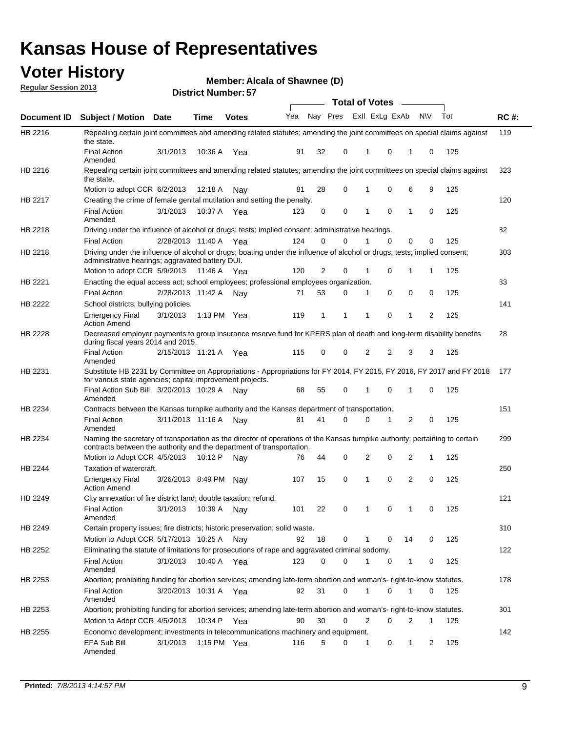## **Voter History**

**Member: Alcala of Shawnee (D)** 

**Regular Session 2013**

|             |                                                                                                                                                                                                               |                       |         |               |     |                |          | <b>Total of Votes</b> |             |              |           |     |             |
|-------------|---------------------------------------------------------------------------------------------------------------------------------------------------------------------------------------------------------------|-----------------------|---------|---------------|-----|----------------|----------|-----------------------|-------------|--------------|-----------|-----|-------------|
| Document ID | <b>Subject / Motion Date</b>                                                                                                                                                                                  |                       | Time    | <b>Votes</b>  | Yea |                | Nay Pres | Exll ExLg ExAb        |             |              | <b>NV</b> | Tot | <b>RC#:</b> |
| HB 2216     | Repealing certain joint committees and amending related statutes; amending the joint committees on special claims against<br>the state.                                                                       |                       |         |               |     |                |          |                       |             |              |           |     | 119         |
|             | <b>Final Action</b><br>Amended                                                                                                                                                                                | 3/1/2013              | 10:36 A | Yea           | 91  | 32             | 0        | 1                     | 0           | 1            | 0         | 125 |             |
| HB 2216     | Repealing certain joint committees and amending related statutes; amending the joint committees on special claims against<br>the state.                                                                       |                       |         |               |     |                |          |                       |             |              |           |     | 323         |
|             | Motion to adopt CCR 6/2/2013                                                                                                                                                                                  |                       | 12:18 A | Nav           | 81  | 28             | 0        | 1                     | 0           | 6            | 9         | 125 |             |
| HB 2217     | Creating the crime of female genital mutilation and setting the penalty.                                                                                                                                      |                       |         |               |     |                |          |                       |             |              |           |     | 120         |
|             | <b>Final Action</b><br>Amended                                                                                                                                                                                | 3/1/2013              | 10:37 A | Yea           | 123 | 0              | 0        | 1                     | $\mathbf 0$ | 1            | 0         | 125 |             |
| HB 2218     | Driving under the influence of alcohol or drugs; tests; implied consent; administrative hearings.                                                                                                             |                       |         |               |     |                |          |                       |             |              |           |     | 82          |
|             | <b>Final Action</b>                                                                                                                                                                                           | 2/28/2013 11:40 A Yea |         |               | 124 | 0              | 0        |                       | $\Omega$    | 0            | 0         | 125 |             |
| HB 2218     | Driving under the influence of alcohol or drugs; boating under the influence of alcohol or drugs; tests; implied consent;<br>administrative hearings; aggravated battery DUI.<br>Motion to adopt CCR 5/9/2013 |                       |         |               | 120 | $\overline{2}$ | 0        | 1                     | 0           | 1            | 1         | 125 | 303         |
| HB 2221     | Enacting the equal access act; school employees; professional employees organization.                                                                                                                         |                       | 11:46 A | Yea           |     |                |          |                       |             |              |           |     | 83          |
|             | <b>Final Action</b>                                                                                                                                                                                           | 2/28/2013 11:42 A     |         |               | 71  | 53             | 0        | 1                     | 0           | 0            | 0         | 125 |             |
| HB 2222     | School districts; bullying policies.                                                                                                                                                                          |                       |         | Nav           |     |                |          |                       |             |              |           |     | 141         |
|             | <b>Emergency Final</b><br><b>Action Amend</b>                                                                                                                                                                 | 3/1/2013              |         | 1:13 PM $Yea$ | 119 | $\mathbf 1$    | 1        | 1                     | 0           | 1            | 2         | 125 |             |
| HB 2228     | Decreased employer payments to group insurance reserve fund for KPERS plan of death and long-term disability benefits<br>during fiscal years 2014 and 2015.                                                   |                       |         |               |     |                |          |                       |             |              |           |     | 28          |
|             | <b>Final Action</b><br>Amended                                                                                                                                                                                | 2/15/2013 11:21 A     |         | Yea           | 115 | 0              | 0        | 2                     | 2           | 3            | 3         | 125 |             |
| HB 2231     | Substitute HB 2231 by Committee on Appropriations - Appropriations for FY 2014, FY 2015, FY 2016, FY 2017 and FY 2018<br>for various state agencies; capital improvement projects.                            |                       |         |               |     |                |          |                       |             |              |           |     | 177         |
|             | Final Action Sub Bill 3/20/2013 10:29 A<br>Amended                                                                                                                                                            |                       |         | Nav           | 68  | 55             | 0        | 1                     | 0           | 1            | 0         | 125 |             |
| HB 2234     | Contracts between the Kansas turnpike authority and the Kansas department of transportation.                                                                                                                  |                       |         |               |     |                |          |                       |             |              |           |     | 151         |
|             | <b>Final Action</b><br>Amended                                                                                                                                                                                | 3/11/2013 11:16 A     |         | Nav           | 81  | 41             | 0        | 0                     | 1           | 2            | 0         | 125 |             |
| HB 2234     | Naming the secretary of transportation as the director of operations of the Kansas turnpike authority; pertaining to certain<br>contracts between the authority and the department of transportation.         |                       |         |               |     |                |          |                       |             |              |           |     | 299         |
|             | Motion to Adopt CCR 4/5/2013                                                                                                                                                                                  |                       | 10:12 P | Nav           | 76  | 44             | 0        | 2                     | 0           | 2            | 1         | 125 |             |
| HB 2244     | Taxation of watercraft.<br><b>Emergency Final</b><br><b>Action Amend</b>                                                                                                                                      | 3/26/2013 8:49 PM     |         | Nay           | 107 | 15             | 0        | 1                     | 0           | 2            | 0         | 125 | 250         |
| HB 2249     | City annexation of fire district land; double taxation; refund.                                                                                                                                               |                       |         |               |     |                |          |                       |             |              |           |     | 121         |
|             | <b>Final Action</b><br>Amended                                                                                                                                                                                | 3/1/2013              | 10:39 A | Nay           | 101 | 22             | 0        | 1                     | 0           | $\mathbf{1}$ | 0         | 125 |             |
| HB 2249     | Certain property issues; fire districts; historic preservation; solid waste.                                                                                                                                  |                       |         |               |     |                |          |                       |             |              |           |     | 310         |
|             | Motion to Adopt CCR 5/17/2013 10:25 A                                                                                                                                                                         |                       |         | Nay           | 92  | 18             | 0        | 1                     | 0           | 14           | 0         | 125 |             |
| HB 2252     | Eliminating the statute of limitations for prosecutions of rape and aggravated criminal sodomy.                                                                                                               |                       |         |               |     |                |          |                       |             |              |           |     | 122         |
|             | <b>Final Action</b><br>Amended                                                                                                                                                                                | 3/1/2013              | 10:40 A | Yea           | 123 | 0              | 0        | 1                     | 0           | 1            | 0         | 125 |             |
| HB 2253     | Abortion; prohibiting funding for abortion services; amending late-term abortion and woman's- right-to-know statutes.                                                                                         |                       |         |               |     |                |          |                       |             |              |           |     | 178         |
|             | <b>Final Action</b><br>Amended                                                                                                                                                                                | 3/20/2013 10:31 A Yea |         |               | 92  | 31             | 0        | 1                     | 0           | 1            | 0         | 125 |             |
| HB 2253     | Abortion; prohibiting funding for abortion services; amending late-term abortion and woman's- right-to-know statutes.                                                                                         |                       |         |               |     |                |          |                       |             |              |           |     | 301         |
|             | Motion to Adopt CCR 4/5/2013                                                                                                                                                                                  |                       |         | 10:34 P Yea   | 90  | 30             | 0        | 2                     | 0           | 2            |           | 125 |             |
| HB 2255     | Economic development; investments in telecommunications machinery and equipment.                                                                                                                              |                       |         |               |     |                |          |                       |             |              |           |     | 142         |
|             | EFA Sub Bill<br>Amended                                                                                                                                                                                       | 3/1/2013              |         | 1:15 PM Yea   | 116 | 5              | 0        | 1                     | 0           | 1            | 2         | 125 |             |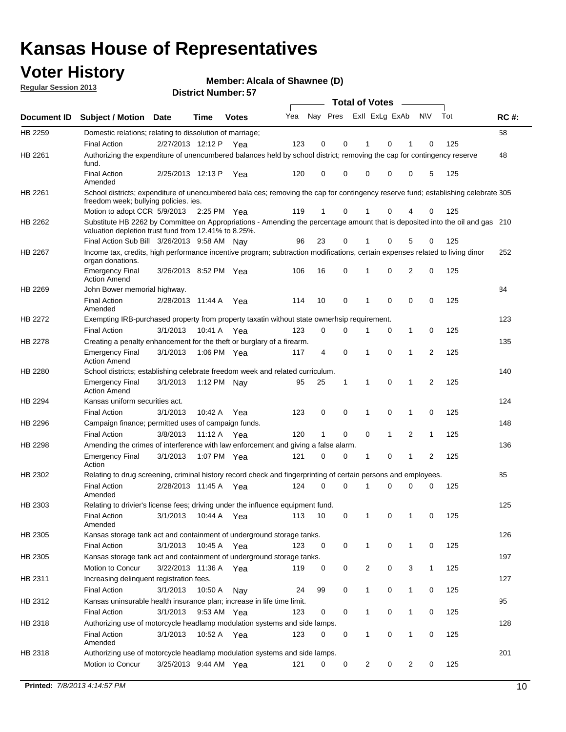## **Voter History**

**Member: Alcala of Shawnee (D)** 

**Regular Session 2013**

|                    |                                                                                                                                                                                       |                       | וט ו וטעווווטדו וטוש |              |     |          |          | <b>Total of Votes</b> |              | $\sim$       |                |     |             |
|--------------------|---------------------------------------------------------------------------------------------------------------------------------------------------------------------------------------|-----------------------|----------------------|--------------|-----|----------|----------|-----------------------|--------------|--------------|----------------|-----|-------------|
| <b>Document ID</b> | <b>Subject / Motion Date</b>                                                                                                                                                          |                       | <b>Time</b>          | <b>Votes</b> | Yea | Nay Pres |          | Exll ExLg ExAb        |              |              | <b>NV</b>      | Tot | <b>RC#:</b> |
| HB 2259            | Domestic relations; relating to dissolution of marriage;                                                                                                                              |                       |                      |              |     |          |          |                       |              |              |                |     | 58          |
|                    | <b>Final Action</b>                                                                                                                                                                   | 2/27/2013 12:12 P     |                      | Yea          | 123 | 0        | 0        | 1                     | 0            | 1            | 0              | 125 |             |
| HB 2261            | Authorizing the expenditure of unencumbered balances held by school district; removing the cap for contingency reserve<br>fund.                                                       |                       |                      |              |     |          |          |                       |              |              |                |     | 48          |
|                    | <b>Final Action</b><br>Amended                                                                                                                                                        | 2/25/2013 12:13 P     |                      | Yea          | 120 | 0        | 0        | 0                     | 0            | 0            | 5              | 125 |             |
| HB 2261            | School districts; expenditure of unencumbered bala ces; removing the cap for contingency reserve fund; establishing celebrate 305<br>freedom week; bullying policies. ies.            |                       |                      |              |     |          |          |                       |              |              |                |     |             |
|                    | Motion to adopt CCR 5/9/2013                                                                                                                                                          |                       | 2:25 PM Yea          |              | 119 | 1        | 0        | 1                     | 0            | 4            | 0              | 125 |             |
| HB 2262            | Substitute HB 2262 by Committee on Appropriations - Amending the percentage amount that is deposited into the oil and gas 210<br>valuation depletion trust fund from 12.41% to 8.25%. |                       |                      |              |     |          |          |                       |              |              |                |     |             |
|                    | Final Action Sub Bill 3/26/2013 9:58 AM                                                                                                                                               |                       |                      | Nav          | 96  | 23       | 0        |                       | 0            | 5            | 0              | 125 |             |
| HB 2267            | Income tax, credits, high performance incentive program; subtraction modifications, certain expenses related to living dinor<br>organ donations.                                      |                       |                      |              |     |          |          |                       |              |              |                |     | 252         |
|                    | <b>Emergency Final</b><br><b>Action Amend</b>                                                                                                                                         | 3/26/2013 8:52 PM Yea |                      |              | 106 | 16       | 0        | 1                     | 0            | 2            | 0              | 125 |             |
| HB 2269            | John Bower memorial highway.                                                                                                                                                          |                       |                      |              |     |          |          |                       |              |              |                |     | 84          |
|                    | <b>Final Action</b><br>Amended                                                                                                                                                        | 2/28/2013 11:44 A Yea |                      |              | 114 | 10       | 0        | 1                     | 0            | 0            | 0              | 125 |             |
| <b>HB 2272</b>     | Exempting IRB-purchased property from property taxatin without state ownerhsip requirement.                                                                                           |                       |                      |              |     |          |          |                       |              |              |                |     | 123         |
|                    | <b>Final Action</b>                                                                                                                                                                   | 3/1/2013              | 10:41 A              | Yea          | 123 | 0        | 0        | 1                     | 0            | $\mathbf{1}$ | 0              | 125 |             |
| HB 2278            | Creating a penalty enhancement for the theft or burglary of a firearm.                                                                                                                |                       |                      |              |     |          |          |                       |              |              |                |     | 135         |
|                    | <b>Emergency Final</b><br><b>Action Amend</b>                                                                                                                                         | 3/1/2013              | 1:06 PM Yea          |              | 117 | 4        | 0        | 1                     | $\Omega$     | 1            | $\overline{2}$ | 125 |             |
| HB 2280            | School districts; establishing celebrate freedom week and related curriculum.                                                                                                         |                       |                      |              |     |          |          |                       |              |              |                |     | 140         |
|                    | <b>Emergency Final</b><br><b>Action Amend</b>                                                                                                                                         | 3/1/2013              | 1:12 PM Nay          |              | 95  | 25       | 1        | 1                     | 0            | 1            | 2              | 125 |             |
| HB 2294            | Kansas uniform securities act.                                                                                                                                                        |                       |                      |              |     |          |          |                       |              |              |                |     | 124         |
|                    | <b>Final Action</b>                                                                                                                                                                   | 3/1/2013              | 10:42 A              | Yea          | 123 | 0        | 0        | 1                     | 0            | 1            | 0              | 125 |             |
| HB 2296            | Campaign finance; permitted uses of campaign funds.                                                                                                                                   |                       |                      |              |     |          |          |                       |              |              |                |     | 148         |
|                    | <b>Final Action</b>                                                                                                                                                                   | 3/8/2013              | 11:12 A Yea          |              | 120 | 1        | 0        | 0                     | $\mathbf{1}$ | 2            | $\mathbf{1}$   | 125 |             |
| HB 2298            | Amending the crimes of interference with law enforcement and giving a false alarm.                                                                                                    |                       |                      |              |     |          |          |                       |              |              |                |     | 136         |
|                    | <b>Emergency Final</b><br>Action                                                                                                                                                      | 3/1/2013              | 1:07 PM Yea          |              | 121 | 0        | 0        | 1                     | 0            | 1            | 2              | 125 |             |
| HB 2302            | Relating to drug screening, criminal history record check and fingerprinting of certain persons and employees.                                                                        |                       |                      |              |     |          |          |                       |              |              |                |     | 85          |
|                    | <b>Final Action</b><br>Amended                                                                                                                                                        | 2/28/2013 11:45 A     |                      | Yea          | 124 | $\Omega$ | $\Omega$ | 1                     | 0            | 0            | 0              | 125 |             |
| HB 2303            | Relating to drivier's license fees; driving under the influence equipment fund.                                                                                                       |                       |                      |              |     |          |          |                       |              |              |                |     | 125         |
|                    | <b>Final Action</b><br>Amended                                                                                                                                                        | 3/1/2013              | 10:44 A              | Yea          | 113 | 10       | 0        | 1                     | 0            | 1            | 0              | 125 |             |
| HB 2305            | Kansas storage tank act and containment of underground storage tanks.                                                                                                                 |                       |                      |              |     |          |          |                       |              |              |                |     | 126         |
|                    | Final Action                                                                                                                                                                          | 3/1/2013              | 10:45 A              | Yea          | 123 | 0        | 0        | 1                     | 0            | 1            | 0              | 125 |             |
| HB 2305            | Kansas storage tank act and containment of underground storage tanks.                                                                                                                 |                       |                      |              |     |          |          |                       |              |              |                |     | 197         |
|                    | Motion to Concur                                                                                                                                                                      | 3/22/2013 11:36 A     |                      | Yea          | 119 | 0        | 0        | $\overline{c}$        | 0            | 3            | $\mathbf{1}$   | 125 |             |
| HB 2311            | Increasing delinquent registration fees.                                                                                                                                              |                       |                      |              |     |          |          |                       |              |              |                |     | 127         |
|                    | <b>Final Action</b>                                                                                                                                                                   | 3/1/2013              | 10:50 A              | Nay          | 24  | 99       | 0        | 1                     | 0            | $\mathbf{1}$ | 0              | 125 |             |
| HB 2312            | Kansas uninsurable health insurance plan; increase in life time limit.                                                                                                                |                       |                      |              |     |          |          |                       |              |              |                |     | 95          |
|                    | <b>Final Action</b>                                                                                                                                                                   | 3/1/2013              | 9:53 AM Yea          |              | 123 | 0        | 0        |                       | 0            | 1            | 0              | 125 |             |
| HB 2318            | Authorizing use of motorcycle headlamp modulation systems and side lamps.                                                                                                             |                       |                      |              |     |          |          |                       |              |              |                |     | 128         |
|                    | <b>Final Action</b><br>Amended                                                                                                                                                        | 3/1/2013              | 10:52 A              | Yea          | 123 | 0        | 0        | 1                     | 0            | 1            | 0              | 125 |             |
| HB 2318            | Authorizing use of motorcycle headlamp modulation systems and side lamps.                                                                                                             |                       |                      |              |     |          |          |                       |              |              |                |     | 201         |
|                    | Motion to Concur                                                                                                                                                                      | 3/25/2013 9:44 AM Yea |                      |              | 121 | 0        | 0        | 2                     | 0            | 2            | 0              | 125 |             |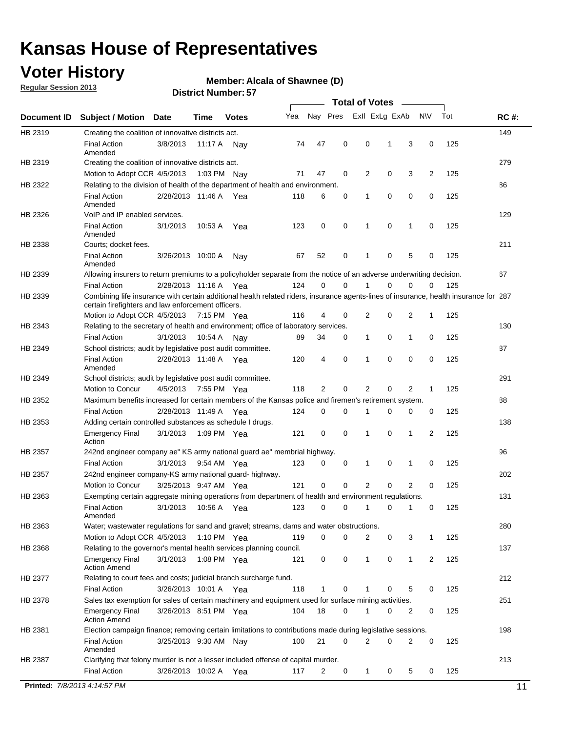## **Voter History**

**Member: Alcala of Shawnee (D)** 

**Regular Session 2013**

|             |                                                                                                                                                                                             |                       |             |               |     |             |             | <b>Total of Votes</b> |   |              |                |     |             |
|-------------|---------------------------------------------------------------------------------------------------------------------------------------------------------------------------------------------|-----------------------|-------------|---------------|-----|-------------|-------------|-----------------------|---|--------------|----------------|-----|-------------|
| Document ID | <b>Subject / Motion</b>                                                                                                                                                                     | <b>Date</b>           | Time        | <b>Votes</b>  | Yea | Nay Pres    |             | Exll ExLg ExAb        |   |              | <b>NV</b>      | Tot | <b>RC#:</b> |
| HB 2319     | Creating the coalition of innovative districts act.                                                                                                                                         |                       |             |               |     |             |             |                       |   |              |                |     | 149         |
|             | <b>Final Action</b><br>Amended                                                                                                                                                              | 3/8/2013              | 11:17 A     | Nav           | 74  | 47          | 0           | 0                     | 1 | 3            | 0              | 125 |             |
| HB 2319     | Creating the coalition of innovative districts act.                                                                                                                                         |                       |             |               |     |             |             |                       |   |              |                |     | 279         |
|             | Motion to Adopt CCR 4/5/2013                                                                                                                                                                |                       | 1:03 PM     | Nav           | 71  | 47          | 0           | 2                     | 0 | 3            | $\overline{2}$ | 125 |             |
| HB 2322     | Relating to the division of health of the department of health and environment.                                                                                                             |                       |             |               |     |             |             |                       |   |              |                |     | 86          |
|             | <b>Final Action</b><br>Amended                                                                                                                                                              | 2/28/2013 11:46 A Yea |             |               | 118 | 6           | 0           | 1                     | 0 | 0            | 0              | 125 |             |
| HB 2326     | VoIP and IP enabled services.                                                                                                                                                               |                       |             |               |     |             |             |                       |   |              |                |     | 129         |
|             | <b>Final Action</b><br>Amended                                                                                                                                                              | 3/1/2013              | 10:53 A     | Yea           | 123 | 0           | 0           | 1                     | 0 | 1            | 0              | 125 |             |
| HB 2338     | Courts; docket fees.                                                                                                                                                                        |                       |             |               |     |             |             |                       |   |              |                |     | 211         |
|             | <b>Final Action</b><br>Amended                                                                                                                                                              | 3/26/2013 10:00 A     |             | Nav           | 67  | 52          | 0           | 1                     | 0 | 5            | 0              | 125 |             |
| HB 2339     | Allowing insurers to return premiums to a policyholder separate from the notice of an adverse underwriting decision.                                                                        |                       |             |               |     |             |             |                       |   |              |                |     | 67          |
|             | <b>Final Action</b>                                                                                                                                                                         | 2/28/2013 11:16 A Yea |             |               | 124 | 0           | 0           | 1                     | 0 | 0            | 0              | 125 |             |
| HB 2339     | Combining life insurance with certain additional health related riders, insurance agents-lines of insurance, health insurance for 287<br>certain firefighters and law enforcement officers. |                       |             |               |     |             |             |                       |   |              |                |     |             |
|             | Motion to Adopt CCR 4/5/2013 7:15 PM Yea                                                                                                                                                    |                       |             |               | 116 | 4           | 0           | 2                     | 0 | 2            | 1              | 125 |             |
| HB 2343     | Relating to the secretary of health and environment; office of laboratory services.                                                                                                         |                       |             |               |     |             |             |                       |   |              |                |     | 130         |
|             | <b>Final Action</b>                                                                                                                                                                         | 3/1/2013              | 10:54 A     | Nav           | 89  | 34          | 0           | 1                     | 0 | 1            | 0              | 125 |             |
| HB 2349     | School districts; audit by legislative post audit committee.                                                                                                                                |                       |             |               |     |             |             |                       |   |              |                |     | 87          |
|             | <b>Final Action</b><br>Amended                                                                                                                                                              | 2/28/2013 11:48 A Yea |             |               | 120 | 4           | $\mathbf 0$ | 1                     | 0 | 0            | 0              | 125 |             |
| HB 2349     | School districts; audit by legislative post audit committee.                                                                                                                                |                       |             |               |     |             |             |                       |   |              |                |     | 291         |
|             | Motion to Concur                                                                                                                                                                            | 4/5/2013              | 7:55 PM Yea |               | 118 | 2           | 0           | 2                     | 0 | 2            | 1              | 125 |             |
| HB 2352     | Maximum benefits increased for certain members of the Kansas police and firemen's retirement system.                                                                                        |                       |             |               |     |             |             |                       |   |              |                |     | 88          |
|             | <b>Final Action</b>                                                                                                                                                                         | 2/28/2013 11:49 A     |             | Yea           | 124 | 0           | 0           | 1                     | 0 | 0            | 0              | 125 |             |
| HB 2353     | Adding certain controlled substances as schedule I drugs.                                                                                                                                   |                       |             |               |     |             |             |                       |   |              |                |     | 138         |
|             | <b>Emergency Final</b><br>Action                                                                                                                                                            | 3/1/2013              |             | 1:09 PM Yea   | 121 | 0           | $\mathbf 0$ | 1                     | 0 | 1            | 2              | 125 |             |
| HB 2357     | 242nd engineer company ae" KS army national guard ae" membrial highway.                                                                                                                     |                       |             |               |     |             |             |                       |   |              |                |     | 96          |
|             | <b>Final Action</b>                                                                                                                                                                         | 3/1/2013              |             | 9:54 AM Yea   | 123 | 0           | 0           | 1                     | 0 | 1            | 0              | 125 |             |
| HB 2357     | 242nd engineer company-KS army national guard- highway.                                                                                                                                     |                       |             |               |     |             |             |                       |   |              |                |     | 202         |
|             | Motion to Concur                                                                                                                                                                            | 3/25/2013 9:47 AM Yea |             |               | 121 | $\mathbf 0$ | $\mathbf 0$ | $\overline{2}$        | 0 | 2            | 0              | 125 |             |
| HB 2363     | Exempting certain aggregate mining operations from department of health and environment regulations.                                                                                        |                       |             |               |     |             |             |                       |   |              |                |     | 131         |
|             | <b>Final Action</b><br>Amended                                                                                                                                                              | 3/1/2013              | 10:56 A     | Yea           | 123 | 0           | 0           | 1                     | 0 | 1            | 0              | 125 |             |
| HB 2363     | Water; wastewater regulations for sand and gravel; streams, dams and water obstructions.                                                                                                    |                       |             |               |     |             |             |                       |   |              |                |     | 280         |
|             | Motion to Adopt CCR 4/5/2013                                                                                                                                                                |                       |             | 1:10 PM $Yea$ | 119 | 0           | 0           | 2                     | 0 | 3            | 1              | 125 |             |
| HB 2368     | Relating to the governor's mental health services planning council.<br><b>Emergency Final</b>                                                                                               | 3/1/2013              |             | 1:08 PM Yea   | 121 | 0           | 0           | 1                     | 0 | $\mathbf{1}$ | 2              | 125 | 137         |
|             | <b>Action Amend</b>                                                                                                                                                                         |                       |             |               |     |             |             |                       |   |              |                |     |             |
| HB 2377     | Relating to court fees and costs; judicial branch surcharge fund.                                                                                                                           |                       |             |               |     |             |             |                       |   |              |                |     | 212         |
|             | <b>Final Action</b>                                                                                                                                                                         | 3/26/2013 10:01 A Yea |             |               | 118 | 1           | 0           |                       | 0 | 5            | 0              | 125 |             |
| HB 2378     | Sales tax exemption for sales of certain machinery and equipment used for surface mining activities.                                                                                        |                       |             |               |     |             |             |                       |   |              |                |     | 251         |
|             | <b>Emergency Final</b><br><b>Action Amend</b>                                                                                                                                               | 3/26/2013 8:51 PM Yea |             |               | 104 | 18          | 0           | 1                     | 0 | 2            | 0              | 125 |             |
| HB 2381     | Election campaign finance; removing certain limitations to contributions made during legislative sessions.                                                                                  |                       |             |               |     |             |             |                       |   |              |                |     | 198         |
|             | <b>Final Action</b><br>Amended                                                                                                                                                              | 3/25/2013 9:30 AM Nay |             |               | 100 | 21          | 0           | 2                     | 0 | 2            | 0              | 125 |             |
| HB 2387     | Clarifying that felony murder is not a lesser included offense of capital murder.                                                                                                           |                       |             |               |     |             |             |                       |   |              |                |     | 213         |
|             | <b>Final Action</b>                                                                                                                                                                         | 3/26/2013 10:02 A     |             | Yea           | 117 | 2           | 0           | $\mathbf{1}$          | 0 | 5            | 0              | 125 |             |
|             | Printed: 7/8/2013 4:14:57 PM                                                                                                                                                                |                       |             |               |     |             |             |                       |   |              |                |     | 11          |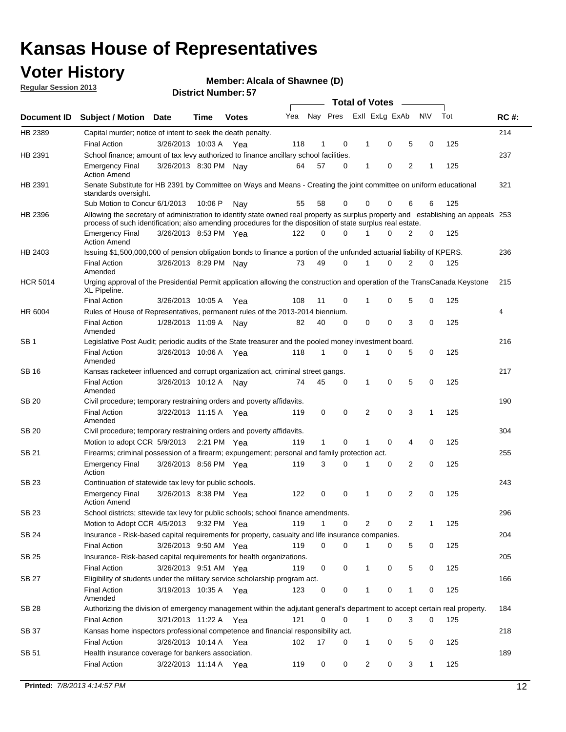## **Voter History**

**Member: Alcala of Shawnee (D)** 

**Regular Session 2013**

|                 |                                                                                                                                                                                                                                                  |                       |         |              |     |              |          | <b>Total of Votes</b> |   |   |              |     |             |
|-----------------|--------------------------------------------------------------------------------------------------------------------------------------------------------------------------------------------------------------------------------------------------|-----------------------|---------|--------------|-----|--------------|----------|-----------------------|---|---|--------------|-----|-------------|
| Document ID     | <b>Subject / Motion Date</b>                                                                                                                                                                                                                     |                       | Time    | <b>Votes</b> | Yea | Nay Pres     |          | Exll ExLg ExAb        |   |   | <b>NV</b>    | Tot | <b>RC#:</b> |
| HB 2389         | Capital murder; notice of intent to seek the death penalty.                                                                                                                                                                                      |                       |         |              |     |              |          |                       |   |   |              |     | 214         |
|                 | <b>Final Action</b>                                                                                                                                                                                                                              | 3/26/2013 10:03 A     |         | Yea          | 118 | 1            | 0        | 1                     | 0 | 5 | 0            | 125 |             |
| HB 2391         | School finance; amount of tax levy authorized to finance ancillary school facilities.                                                                                                                                                            |                       |         |              |     |              |          |                       |   |   |              |     | 237         |
|                 | <b>Emergency Final</b><br><b>Action Amend</b>                                                                                                                                                                                                    | 3/26/2013 8:30 PM Nav |         |              | 64  | 57           | 0        | 1                     | 0 | 2 | 1            | 125 |             |
| HB 2391         | Senate Substitute for HB 2391 by Committee on Ways and Means - Creating the joint committee on uniform educational<br>standards oversight.                                                                                                       |                       |         |              |     |              |          |                       |   |   |              |     | 321         |
|                 | Sub Motion to Concur 6/1/2013                                                                                                                                                                                                                    |                       | 10:06 P | Nav          | 55  | 58           | 0        | 0                     | 0 | 6 | 6            | 125 |             |
| HB 2396         | Allowing the secretary of administration to identify state owned real property as surplus property and establishing an appeals 253<br>process of such identification; also amending procedures for the disposition of state surplus real estate. |                       |         |              |     |              |          |                       |   |   |              |     |             |
|                 | <b>Emergency Final</b><br>Action Amend                                                                                                                                                                                                           | 3/26/2013 8:53 PM Yea |         |              | 122 | 0            | 0        |                       | 0 | 2 | 0            | 125 |             |
| HB 2403         | Issuing \$1,500,000,000 of pension obligation bonds to finance a portion of the unfunded actuarial liability of KPERS.                                                                                                                           |                       |         |              |     |              |          |                       |   |   |              |     | 236         |
|                 | <b>Final Action</b><br>Amended                                                                                                                                                                                                                   | 3/26/2013 8:29 PM Nay |         |              | 73  | 49           | 0        | 1                     | 0 | 2 | 0            | 125 |             |
| <b>HCR 5014</b> | Urging approval of the Presidential Permit application allowing the construction and operation of the TransCanada Keystone<br>XL Pipeline.                                                                                                       |                       |         |              |     |              |          |                       |   |   |              |     | 215         |
|                 | <b>Final Action</b>                                                                                                                                                                                                                              | 3/26/2013 10:05 A     |         | Yea          | 108 | 11           | 0        |                       | 0 | 5 | 0            | 125 |             |
| HR 6004         | Rules of House of Representatives, permanent rules of the 2013-2014 biennium.                                                                                                                                                                    |                       |         |              |     |              |          |                       |   |   |              |     | 4           |
|                 | <b>Final Action</b><br>Amended                                                                                                                                                                                                                   | 1/28/2013 11:09 A     |         | Nav          | 82  | 40           | 0        | 0                     | 0 | 3 | 0            | 125 |             |
| SB 1            | Legislative Post Audit; periodic audits of the State treasurer and the pooled money investment board.                                                                                                                                            |                       |         |              |     |              |          |                       |   |   |              |     | 216         |
|                 | <b>Final Action</b><br>Amended                                                                                                                                                                                                                   | 3/26/2013 10:06 A     |         | Yea          | 118 | 1            | 0        | 1                     | 0 | 5 | 0            | 125 |             |
| SB 16           | Kansas racketeer influenced and corrupt organization act, criminal street gangs.                                                                                                                                                                 |                       |         |              |     |              |          |                       |   |   |              |     | 217         |
|                 | <b>Final Action</b><br>Amended                                                                                                                                                                                                                   | 3/26/2013 10:12 A     |         | Nav          | 74  | 45           | 0        | 1                     | 0 | 5 | 0            | 125 |             |
| SB 20           | Civil procedure; temporary restraining orders and poverty affidavits.                                                                                                                                                                            |                       |         |              |     |              |          |                       |   |   |              |     | 190         |
|                 | <b>Final Action</b><br>Amended                                                                                                                                                                                                                   | 3/22/2013 11:15 A     |         | Yea          | 119 | 0            | 0        | 2                     | 0 | 3 | $\mathbf{1}$ | 125 |             |
| SB 20           | Civil procedure; temporary restraining orders and poverty affidavits.                                                                                                                                                                            |                       |         |              |     |              |          |                       |   |   |              |     | 304         |
|                 | Motion to adopt CCR 5/9/2013                                                                                                                                                                                                                     |                       |         | 2:21 PM Yea  | 119 | $\mathbf{1}$ | 0        | 1                     | 0 | 4 | 0            | 125 |             |
| SB 21           | Firearms; criminal possession of a firearm; expungement; personal and family protection act.                                                                                                                                                     |                       |         |              |     |              |          |                       |   |   |              |     | 255         |
|                 | <b>Emergency Final</b><br>Action                                                                                                                                                                                                                 | 3/26/2013 8:56 PM Yea |         |              | 119 | 3            | 0        |                       | 0 | 2 | 0            | 125 |             |
| SB 23           | Continuation of statewide tax levy for public schools.                                                                                                                                                                                           |                       |         |              |     |              |          |                       |   |   |              |     | 243         |
|                 | <b>Emergency Final</b><br><b>Action Amend</b>                                                                                                                                                                                                    | 3/26/2013 8:38 PM Yea |         |              | 122 | 0            | 0        | 1                     | 0 | 2 | 0            | 125 |             |
| <b>SB 23</b>    | School districts; sttewide tax levy for public schools; school finance amendments                                                                                                                                                                |                       |         |              |     |              |          |                       |   |   |              |     | 296         |
|                 | Motion to Adopt CCR 4/5/2013 9:32 PM Yea                                                                                                                                                                                                         |                       |         |              | 119 | 1            | 0        | 2                     | 0 | 2 | 1            | 125 |             |
| <b>SB 24</b>    | Insurance - Risk-based capital requirements for property, casualty and life insurance companies.                                                                                                                                                 |                       |         |              |     |              |          |                       |   |   |              |     | 204         |
|                 | <b>Final Action</b>                                                                                                                                                                                                                              | 3/26/2013 9:50 AM Yea |         |              | 119 | 0            | 0        |                       | 0 | 5 | 0            | 125 |             |
| SB 25           | Insurance-Risk-based capital requirements for health organizations.                                                                                                                                                                              |                       |         |              |     |              |          |                       |   |   |              |     | 205         |
|                 | <b>Final Action</b>                                                                                                                                                                                                                              | 3/26/2013 9:51 AM Yea |         |              | 119 | 0            | 0        | 1                     | 0 | 5 | 0            | 125 |             |
| SB 27           | Eligibility of students under the military service scholarship program act.                                                                                                                                                                      |                       |         |              |     |              |          |                       |   |   |              |     | 166         |
|                 | <b>Final Action</b><br>Amended                                                                                                                                                                                                                   | 3/19/2013 10:35 A Yea |         |              | 123 | 0            | 0        |                       | 0 | 1 | 0            | 125 |             |
| SB 28           | Authorizing the division of emergency management within the adjutant general's department to accept certain real property.                                                                                                                       |                       |         |              |     |              |          |                       |   |   |              |     | 184         |
|                 | <b>Final Action</b>                                                                                                                                                                                                                              | 3/21/2013 11:22 A Yea |         |              | 121 | 0            | $\Omega$ | 1                     | 0 | 3 | $\Omega$     | 125 |             |
| SB 37           | Kansas home inspectors professional competence and financial responsibility act.                                                                                                                                                                 |                       |         |              |     |              |          |                       |   |   |              |     | 218         |
|                 | <b>Final Action</b>                                                                                                                                                                                                                              | 3/26/2013 10:14 A Yea |         |              | 102 | 17           | 0        | 1                     | 0 | 5 | 0            | 125 |             |
| SB 51           | Health insurance coverage for bankers association.                                                                                                                                                                                               |                       |         |              |     |              |          |                       |   |   |              |     | 189         |
|                 | <b>Final Action</b>                                                                                                                                                                                                                              | 3/22/2013 11:14 A Yea |         |              | 119 | 0            | 0        | 2                     | 0 | 3 | $\mathbf{1}$ | 125 |             |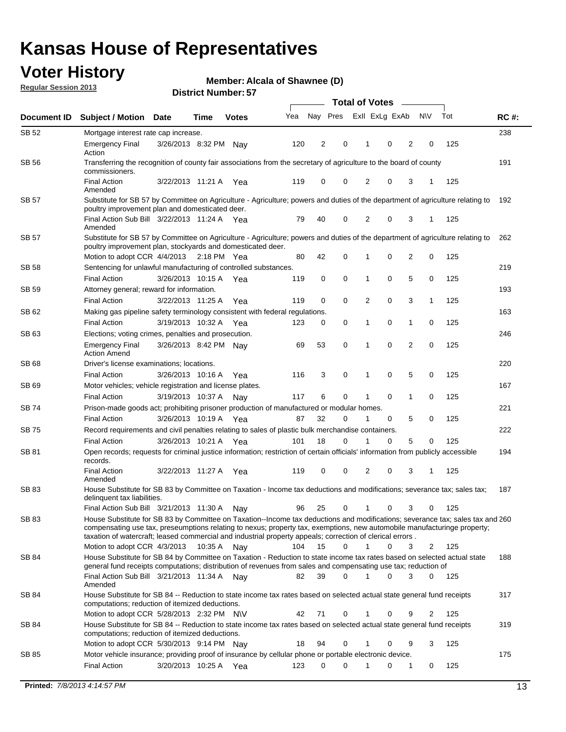## **Voter History**

**Member: Alcala of Shawnee (D)** 

**Regular Session 2013**

|              |                                                                                                                                                                                                                                            |                       |             |              |     |          |             | <b>Total of Votes</b> |   |                |             |     |             |
|--------------|--------------------------------------------------------------------------------------------------------------------------------------------------------------------------------------------------------------------------------------------|-----------------------|-------------|--------------|-----|----------|-------------|-----------------------|---|----------------|-------------|-----|-------------|
| Document ID  | <b>Subject / Motion Date</b>                                                                                                                                                                                                               |                       | Time        | <b>Votes</b> | Yea | Nay Pres |             | Exll ExLg ExAb        |   |                | <b>NV</b>   | Tot | <b>RC#:</b> |
| SB 52        | Mortgage interest rate cap increase.                                                                                                                                                                                                       |                       |             |              |     |          |             |                       |   |                |             |     | 238         |
|              | <b>Emergency Final</b><br>Action                                                                                                                                                                                                           | 3/26/2013 8:32 PM     |             | Nay          | 120 | 2        | 0           |                       | 0 | 2              | 0           | 125 |             |
| SB 56        | Transferring the recognition of county fair associations from the secretary of agriculture to the board of county<br>commissioners.                                                                                                        |                       |             |              |     |          |             |                       |   |                |             |     | 191         |
|              | <b>Final Action</b><br>Amended                                                                                                                                                                                                             | 3/22/2013 11:21 A     |             | Yea          | 119 | 0        | 0           | 2                     | 0 | 3              | 1           | 125 |             |
| SB 57        | Substitute for SB 57 by Committee on Agriculture - Agriculture; powers and duties of the department of agriculture relating to                                                                                                             |                       |             |              |     |          |             |                       |   |                |             |     | 192         |
|              | poultry improvement plan and domesticated deer.<br>Final Action Sub Bill 3/22/2013 11:24 A Yea<br>Amended                                                                                                                                  |                       |             |              | 79  | 40       | 0           | 2                     | 0 | 3              | 1           | 125 |             |
| SB 57        | Substitute for SB 57 by Committee on Agriculture - Agriculture; powers and duties of the department of agriculture relating to<br>poultry improvement plan, stockyards and domesticated deer.                                              |                       |             |              |     |          |             |                       |   |                |             |     | 262         |
|              | Motion to adopt CCR 4/4/2013 2:18 PM Yea                                                                                                                                                                                                   |                       |             |              | 80  | 42       | 0           | 1                     | 0 | 2              | 0           | 125 |             |
| SB 58        | Sentencing for unlawful manufacturing of controlled substances.                                                                                                                                                                            |                       |             |              |     |          |             |                       |   |                |             |     | 219         |
|              | <b>Final Action</b>                                                                                                                                                                                                                        | 3/26/2013 10:15 A     |             | Yea          | 119 | 0        | 0           | 1                     | 0 | 5              | 0           | 125 |             |
| <b>SB 59</b> | Attorney general; reward for information.                                                                                                                                                                                                  |                       |             |              |     |          |             |                       |   |                |             |     | 193         |
|              | <b>Final Action</b>                                                                                                                                                                                                                        | 3/22/2013 11:25 A     |             | Yea          | 119 | 0        | 0           | 2                     | 0 | 3              | 1           | 125 |             |
| SB 62        | Making gas pipeline safety terminology consistent with federal regulations.                                                                                                                                                                |                       |             |              |     |          |             |                       |   |                |             |     | 163         |
|              | <b>Final Action</b>                                                                                                                                                                                                                        | 3/19/2013 10:32 A     |             | Yea          | 123 | 0        | 0           | 1                     | 0 | 1              | 0           | 125 |             |
| SB 63        | Elections; voting crimes, penalties and prosecution.                                                                                                                                                                                       |                       |             |              |     |          |             |                       |   |                |             |     | 246         |
|              | <b>Emergency Final</b><br><b>Action Amend</b>                                                                                                                                                                                              | 3/26/2013 8:42 PM Nay |             |              | 69  | 53       | $\mathbf 0$ | 1                     | 0 | $\overline{2}$ | $\mathbf 0$ | 125 |             |
| SB 68        | Driver's license examinations; locations.                                                                                                                                                                                                  |                       |             |              |     |          |             |                       |   |                |             |     | 220         |
|              | <b>Final Action</b>                                                                                                                                                                                                                        | 3/26/2013 10:16 A     |             | Yea          | 116 | 3        | 0           | 1                     | 0 | 5              | 0           | 125 |             |
| SB 69        | Motor vehicles; vehicle registration and license plates.                                                                                                                                                                                   |                       |             |              |     |          |             |                       |   |                |             |     | 167         |
|              | <b>Final Action</b>                                                                                                                                                                                                                        | 3/19/2013 10:37 A     |             | Nay          | 117 | 6        | 0           | 1                     | 0 | $\mathbf{1}$   | 0           | 125 |             |
| SB 74        | Prison-made goods act; prohibiting prisoner production of manufactured or modular homes.                                                                                                                                                   |                       |             |              |     |          |             |                       |   |                |             |     | 221         |
|              | <b>Final Action</b>                                                                                                                                                                                                                        | 3/26/2013 10:19 A     |             | Yea          | 87  | 32       | 0           | 1                     | 0 | 5              | 0           | 125 |             |
| SB 75        | Record requirements and civil penalties relating to sales of plastic bulk merchandise containers.                                                                                                                                          |                       |             |              |     |          |             |                       |   |                |             |     | 222         |
|              | <b>Final Action</b>                                                                                                                                                                                                                        | 3/26/2013 10:21 A     |             | Yea          | 101 | 18       | 0           | 1                     | 0 | 5              | 0           | 125 |             |
| SB 81        | Open records; requests for criminal justice information; restriction of certain officials' information from publicly accessible<br>records.                                                                                                |                       |             |              |     |          |             |                       |   |                |             |     | 194         |
|              | <b>Final Action</b><br>Amended                                                                                                                                                                                                             | 3/22/2013 11:27 A     |             | Yea          | 119 | 0        | 0           | 2                     | 0 | 3              | 1           | 125 |             |
| <b>SB 83</b> | House Substitute for SB 83 by Committee on Taxation - Income tax deductions and modifications; severance tax; sales tax;<br>delinquent tax liabilities.<br>Final Action Sub Bill 3/21/2013 11:30 A                                         |                       |             |              | 96  | 25       | 0           | 1                     | 0 | 3              | 0           | 125 | 187         |
| SB 83        | House Substitute for SB 83 by Committee on Taxation--Income tax deductions and modifications; severance tax; sales tax and 260                                                                                                             |                       |             | Nav          |     |          |             |                       |   |                |             |     |             |
|              | compensating use tax, preseumptions relating to nexus; property tax, exemptions, new automobile manufacturinge property;<br>taxation of watercraft; leased commercial and industrial property appeals; correction of clerical errors.      |                       |             |              |     |          |             |                       |   |                |             |     |             |
|              | Motion to adopt CCR 4/3/2013                                                                                                                                                                                                               |                       | 10:35 A Nay |              | 104 | 15       | 0           | $\mathbf{1}$          | 0 | 3              | 2           | 125 |             |
| SB 84        | House Substitute for SB 84 by Committee on Taxation - Reduction to state income tax rates based on selected actual state<br>general fund receipts computations; distribution of revenues from sales and compensating use tax; reduction of |                       |             |              |     |          | $\Omega$    |                       | 0 | 3              | $\Omega$    |     | 188         |
| SB 84        | Final Action Sub Bill 3/21/2013 11:34 A Nay<br>Amended<br>House Substitute for SB 84 -- Reduction to state income tax rates based on selected actual state general fund receipts                                                           |                       |             |              | 82  | 39       |             |                       |   |                |             | 125 | 317         |
|              | computations; reduction of itemized deductions.<br>Motion to adopt CCR 5/28/2013 2:32 PM N\V                                                                                                                                               |                       |             |              | 42  | 71       | 0           |                       | 0 | 9              | 2           | 125 |             |
| SB 84        | House Substitute for SB 84 -- Reduction to state income tax rates based on selected actual state general fund receipts                                                                                                                     |                       |             |              |     |          |             |                       |   |                |             |     | 319         |
|              | computations; reduction of itemized deductions.<br>Motion to adopt CCR 5/30/2013 9:14 PM Nay                                                                                                                                               |                       |             |              | 18  | 94       | 0           |                       | 0 | 9              | 3           | 125 |             |
| SB 85        | Motor vehicle insurance; providing proof of insurance by cellular phone or portable electronic device.                                                                                                                                     |                       |             |              |     |          |             |                       |   |                |             |     | 175         |
|              | <b>Final Action</b>                                                                                                                                                                                                                        | 3/20/2013 10:25 A Yea |             |              | 123 | 0        | $\Omega$    |                       | 0 | 1              | 0           | 125 |             |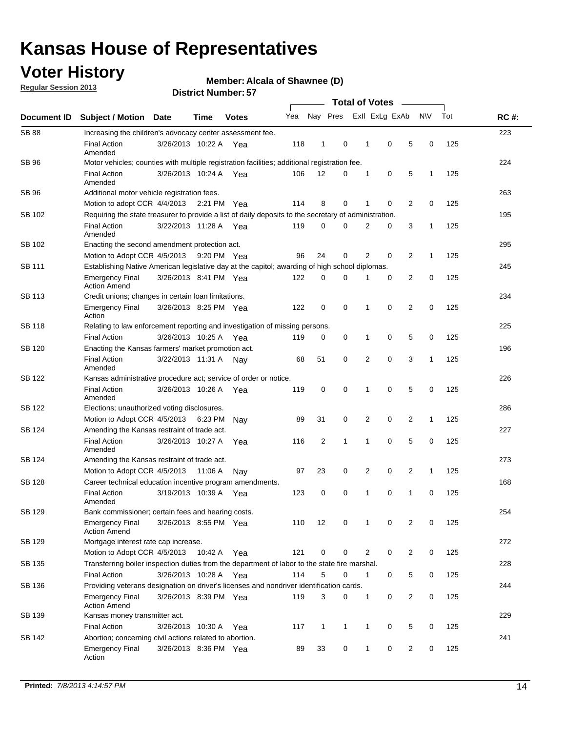## **Voter History**

**Regular Session 2013**

### **Member: Alcala of Shawnee (D)**

| Document ID   |                                                                                                       |                                                    |         |              |     |                |              |                |             |                |              |     |             |  |  |  |  |  |  |  |  |
|---------------|-------------------------------------------------------------------------------------------------------|----------------------------------------------------|---------|--------------|-----|----------------|--------------|----------------|-------------|----------------|--------------|-----|-------------|--|--|--|--|--|--|--|--|
|               | <b>Subject / Motion Date</b>                                                                          |                                                    | Time    | <b>Votes</b> | Yea | Nay Pres       |              | Exll ExLg ExAb |             |                | N\V          | Tot | <b>RC#:</b> |  |  |  |  |  |  |  |  |
| <b>SB 88</b>  | Increasing the children's advocacy center assessment fee.                                             |                                                    |         |              |     |                |              |                |             |                |              |     | 223         |  |  |  |  |  |  |  |  |
|               | <b>Final Action</b><br>Amended                                                                        | 3/26/2013 10:22 A Yea                              |         |              | 118 | $\mathbf{1}$   | 0            | 1              | 0           | 5              | 0            | 125 |             |  |  |  |  |  |  |  |  |
| SB 96         | Motor vehicles; counties with multiple registration facilities; additional registration fee.          |                                                    |         |              |     |                |              |                |             |                |              |     | 224         |  |  |  |  |  |  |  |  |
|               | <b>Final Action</b><br>Amended                                                                        | 3/26/2013 10:24 A Yea                              |         |              | 106 | 12             | 0            | 1              | 0           | 5              | 1            | 125 |             |  |  |  |  |  |  |  |  |
| SB 96         | Additional motor vehicle registration fees.                                                           |                                                    |         |              |     |                |              |                |             |                |              |     | 263         |  |  |  |  |  |  |  |  |
|               | Motion to adopt CCR 4/4/2013 2:21 PM Yea                                                              |                                                    |         |              | 114 | 8              | 0            | 1              | 0           | 2              | 0            | 125 |             |  |  |  |  |  |  |  |  |
| SB 102        | Requiring the state treasurer to provide a list of daily deposits to the secretary of administration. |                                                    |         |              |     |                |              |                |             |                |              |     | 195         |  |  |  |  |  |  |  |  |
|               | <b>Final Action</b><br>Amended                                                                        | 3/22/2013 11:28 A Yea                              |         |              | 119 | 0              | 0            | 2              | 0           | 3              | 1            | 125 |             |  |  |  |  |  |  |  |  |
| SB 102        | Enacting the second amendment protection act.                                                         |                                                    |         |              |     |                |              |                |             |                |              |     |             |  |  |  |  |  |  |  |  |
|               | Motion to Adopt CCR 4/5/2013                                                                          |                                                    |         | 9:20 PM Yea  | 96  | 24             | 0            | 2              | 0           | $\overline{2}$ | 1            | 125 |             |  |  |  |  |  |  |  |  |
| SB 111        | Establishing Native American legislative day at the capitol; awarding of high school diplomas.        |                                                    |         |              |     |                |              |                |             |                |              |     |             |  |  |  |  |  |  |  |  |
|               | <b>Emergency Final</b><br><b>Action Amend</b>                                                         | 3/26/2013 8:41 PM Yea                              |         |              | 122 | 0              | 0            | 1              | 0           | 2              | 0            | 125 |             |  |  |  |  |  |  |  |  |
| SB 113        | Credit unions; changes in certain loan limitations.                                                   |                                                    |         |              |     |                |              |                |             |                |              |     | 234         |  |  |  |  |  |  |  |  |
|               | <b>Emergency Final</b><br>Action                                                                      | 3/26/2013 8:25 PM Yea                              |         |              | 122 | 0              | 0            | 1              | 0           | 2              | 0            | 125 |             |  |  |  |  |  |  |  |  |
| SB 118        | Relating to law enforcement reporting and investigation of missing persons.                           |                                                    |         |              |     |                |              |                |             |                |              |     | 225         |  |  |  |  |  |  |  |  |
|               | <b>Final Action</b>                                                                                   | 3/26/2013 10:25 A Yea                              |         |              | 119 | 0              | 0            | 1              | 0           | 5              | 0            | 125 |             |  |  |  |  |  |  |  |  |
| SB 120        | Enacting the Kansas farmers' market promotion act.                                                    |                                                    |         |              |     |                |              |                |             |                |              |     | 196         |  |  |  |  |  |  |  |  |
|               | <b>Final Action</b><br>Amended                                                                        | 3/22/2013 11:31 A Nav                              |         |              | 68  | 51             | 0            | 2              | $\mathbf 0$ | 3              | $\mathbf{1}$ | 125 |             |  |  |  |  |  |  |  |  |
| SB 122        | Kansas administrative procedure act; service of order or notice.                                      |                                                    |         |              |     |                |              |                |             |                |              |     | 226         |  |  |  |  |  |  |  |  |
|               | <b>Final Action</b><br>Amended                                                                        | 3/26/2013 10:26 A                                  |         | Yea          | 119 | 0              | 0            | 1              | $\mathbf 0$ | 5              | 0            | 125 |             |  |  |  |  |  |  |  |  |
| SB 122        | Elections; unauthorized voting disclosures.                                                           |                                                    |         |              |     |                |              |                |             |                |              |     |             |  |  |  |  |  |  |  |  |
|               | Motion to Adopt CCR 4/5/2013                                                                          |                                                    | 6:23 PM | Nav          | 89  | 31             | 0            | 2              | 0           | 2              | 1            | 125 |             |  |  |  |  |  |  |  |  |
| SB 124        | Amending the Kansas restraint of trade act.                                                           |                                                    |         |              |     |                |              |                |             |                |              |     | 227         |  |  |  |  |  |  |  |  |
|               | <b>Final Action</b><br>Amended                                                                        | 3/26/2013 10:27 A                                  |         | Yea          | 116 | $\overline{2}$ | 1            | 1              | 0           | 5              | 0            | 125 |             |  |  |  |  |  |  |  |  |
| SB 124        |                                                                                                       | 273<br>Amending the Kansas restraint of trade act. |         |              |     |                |              |                |             |                |              |     |             |  |  |  |  |  |  |  |  |
|               | Motion to Adopt CCR 4/5/2013                                                                          |                                                    | 11:06 A | Nav          | 97  | 23             | 0            | 2              | 0           | 2              | $\mathbf{1}$ | 125 |             |  |  |  |  |  |  |  |  |
| <b>SB 128</b> | Career technical education incentive program amendments.                                              |                                                    |         |              |     |                |              |                |             |                |              |     | 168         |  |  |  |  |  |  |  |  |
|               | <b>Final Action</b><br>Amended                                                                        | 3/19/2013 10:39 A                                  |         | Yea          | 123 | 0              | 0            | 1              | 0           | 1              | 0            | 125 |             |  |  |  |  |  |  |  |  |
| <b>SB 129</b> | Bank commissioner: certain fees and hearing costs.                                                    |                                                    |         |              |     |                |              |                |             |                |              |     | 254         |  |  |  |  |  |  |  |  |
|               | <b>Emergency Final</b><br><b>Action Amend</b>                                                         | 3/26/2013 8:55 PM Yea                              |         |              | 110 | 12             | 0            | 1              | 0           | 2              | 0            | 125 |             |  |  |  |  |  |  |  |  |
| SB 129        | Mortgage interest rate cap increase.                                                                  |                                                    |         |              |     |                |              |                |             |                |              |     | 272         |  |  |  |  |  |  |  |  |
|               | Motion to Adopt CCR 4/5/2013                                                                          |                                                    | 10:42 A | Yea          | 121 | 0              | 0            | 2              | 0           | $\overline{c}$ | 0            | 125 |             |  |  |  |  |  |  |  |  |
| SB 135        | Transferring boiler inspection duties from the department of labor to the state fire marshal.         |                                                    |         |              |     |                |              |                |             |                |              |     | 228         |  |  |  |  |  |  |  |  |
|               | <b>Final Action</b>                                                                                   | 3/26/2013 10:28 A Yea                              |         |              | 114 | 5              | 0            | 1              | 0           | 5              | 0            | 125 |             |  |  |  |  |  |  |  |  |
| SB 136        | Providing veterans designation on driver's licenses and nondriver identification cards.               |                                                    |         |              |     |                |              |                |             |                |              |     | 244         |  |  |  |  |  |  |  |  |
|               | <b>Emergency Final</b><br><b>Action Amend</b>                                                         | 3/26/2013 8:39 PM Yea                              |         |              | 119 | 3              | 0            | 1              | 0           | $\overline{c}$ | 0            | 125 |             |  |  |  |  |  |  |  |  |
| SB 139        | Kansas money transmitter act.                                                                         |                                                    |         |              |     |                |              |                |             |                |              |     | 229         |  |  |  |  |  |  |  |  |
|               | <b>Final Action</b>                                                                                   | 3/26/2013 10:30 A                                  |         | Yea          | 117 | $\mathbf{1}$   | $\mathbf{1}$ | 1              | 0           | 5              | 0            | 125 |             |  |  |  |  |  |  |  |  |
| SB 142        | Abortion; concerning civil actions related to abortion.                                               |                                                    |         |              |     |                |              |                |             |                |              |     | 241         |  |  |  |  |  |  |  |  |
|               | <b>Emergency Final</b><br>Action                                                                      | 3/26/2013 8:36 PM Yea                              |         |              | 89  | 33             | 0            | 1              | 0           | 2              | 0            | 125 |             |  |  |  |  |  |  |  |  |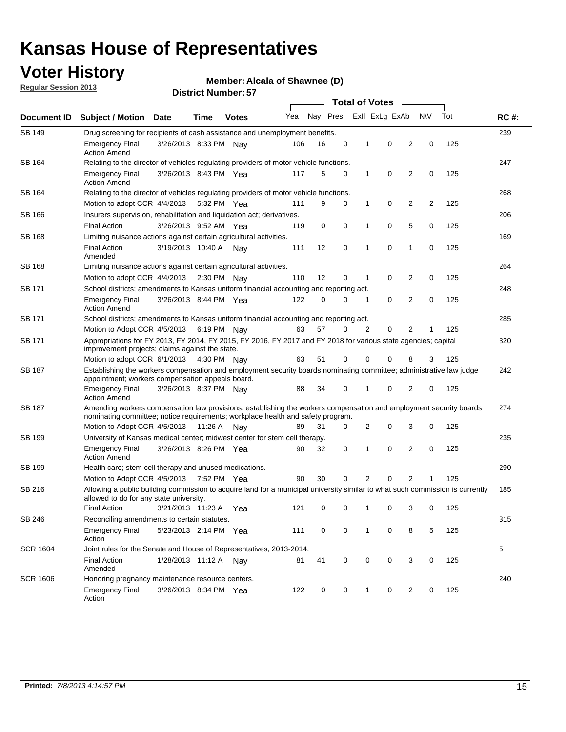## **Voter History**

**Member: Alcala of Shawnee (D)** 

**Regular Session 2013**

| Document ID     |                                                                                                                                                                                                       |                       |             |              | <b>Total of Votes</b><br>$\overline{\phantom{a}}$ |          |   |              |                |                |           |     |             |  |  |  |  |  |  |  |
|-----------------|-------------------------------------------------------------------------------------------------------------------------------------------------------------------------------------------------------|-----------------------|-------------|--------------|---------------------------------------------------|----------|---|--------------|----------------|----------------|-----------|-----|-------------|--|--|--|--|--|--|--|
|                 | <b>Subject / Motion Date</b>                                                                                                                                                                          |                       | Time        | <b>Votes</b> | Yea                                               | Nay Pres |   |              | Exll ExLg ExAb |                | <b>NV</b> | Tot | <b>RC#:</b> |  |  |  |  |  |  |  |
| SB 149          | 239<br>Drug screening for recipients of cash assistance and unemployment benefits.                                                                                                                    |                       |             |              |                                                   |          |   |              |                |                |           |     |             |  |  |  |  |  |  |  |
|                 | <b>Emergency Final</b><br><b>Action Amend</b>                                                                                                                                                         | 3/26/2013 8:33 PM Nay |             |              | 106                                               | 16       | 0 | 1            | 0              | 2              | 0         | 125 |             |  |  |  |  |  |  |  |
| SB 164          | Relating to the director of vehicles regulating providers of motor vehicle functions.                                                                                                                 |                       |             |              |                                                   |          |   |              |                |                |           |     | 247         |  |  |  |  |  |  |  |
|                 | <b>Emergency Final</b><br><b>Action Amend</b>                                                                                                                                                         | 3/26/2013 8:43 PM Yea |             |              | 117                                               | 5        | 0 | $\mathbf{1}$ | 0              | 2              | 0         | 125 |             |  |  |  |  |  |  |  |
| SB 164          | Relating to the director of vehicles regulating providers of motor vehicle functions.                                                                                                                 |                       |             |              |                                                   |          |   |              |                |                |           |     | 268         |  |  |  |  |  |  |  |
|                 | Motion to adopt CCR 4/4/2013 5:32 PM Yea                                                                                                                                                              |                       |             |              | 111                                               | 9        | 0 | $\mathbf{1}$ | 0              | 2              | 2         | 125 |             |  |  |  |  |  |  |  |
| SB 166          | Insurers supervision, rehabilitation and liquidation act; derivatives.                                                                                                                                |                       |             |              |                                                   |          |   |              |                |                |           |     | 206         |  |  |  |  |  |  |  |
|                 | <b>Final Action</b>                                                                                                                                                                                   | 3/26/2013 9:52 AM Yea |             |              | 119                                               | 0        | 0 | 1            | 0              | 5              | 0         | 125 |             |  |  |  |  |  |  |  |
| SB 168          | Limiting nuisance actions against certain agricultural activities.                                                                                                                                    |                       |             |              |                                                   |          |   |              |                |                |           |     | 169         |  |  |  |  |  |  |  |
|                 | <b>Final Action</b><br>Amended                                                                                                                                                                        | 3/19/2013 10:40 A Nay |             |              | 111                                               | 12       | 0 | 1            | 0              | 1              | 0         | 125 |             |  |  |  |  |  |  |  |
| SB 168          | Limiting nuisance actions against certain agricultural activities.                                                                                                                                    |                       |             |              |                                                   |          |   |              |                |                |           |     | 264         |  |  |  |  |  |  |  |
|                 | Motion to adopt CCR 4/4/2013                                                                                                                                                                          |                       | 2:30 PM Nay |              | 110                                               | 12       | 0 | 1            | 0              | 2              | 0         | 125 |             |  |  |  |  |  |  |  |
| <b>SB 171</b>   | School districts; amendments to Kansas uniform financial accounting and reporting act.                                                                                                                |                       |             |              |                                                   |          |   |              |                |                |           |     | 248         |  |  |  |  |  |  |  |
|                 | <b>Emergency Final</b><br><b>Action Amend</b>                                                                                                                                                         | 3/26/2013 8:44 PM Yea |             |              | 122                                               | 0        | 0 | 1            | 0              | 2              | 0         | 125 |             |  |  |  |  |  |  |  |
| SB 171          | School districts; amendments to Kansas uniform financial accounting and reporting act.                                                                                                                |                       |             |              |                                                   |          |   |              |                |                |           |     | 285         |  |  |  |  |  |  |  |
|                 | Motion to Adopt CCR 4/5/2013 6:19 PM Nay                                                                                                                                                              |                       |             |              | 63                                                | 57       | 0 | 2            | 0              | 2              | 1         | 125 |             |  |  |  |  |  |  |  |
| SB 171          | Appropriations for FY 2013, FY 2014, FY 2015, FY 2016, FY 2017 and FY 2018 for various state agencies; capital<br>improvement projects; claims against the state.                                     |                       |             |              |                                                   |          |   |              |                |                |           | 125 | 320         |  |  |  |  |  |  |  |
|                 | Motion to adopt CCR 6/1/2013 4:30 PM Nay                                                                                                                                                              |                       |             |              | 63                                                | 51       | 0 | 0            | 0              | 8              | 3         |     |             |  |  |  |  |  |  |  |
| SB 187          | Establishing the workers compensation and employment security boards nominating committee; administrative law judge<br>appointment; workers compensation appeals board.                               |                       |             |              |                                                   |          |   |              |                |                |           |     | 242         |  |  |  |  |  |  |  |
|                 | <b>Emergency Final</b><br><b>Action Amend</b>                                                                                                                                                         | 3/26/2013 8:37 PM Nay |             |              | 88                                                | 34       | 0 | 1            | 0              | 2              | 0         | 125 | 274         |  |  |  |  |  |  |  |
| SB 187          | Amending workers compensation law provisions; establishing the workers compensation and employment security boards<br>nominating committee; notice requirements; workplace health and safety program. |                       |             |              |                                                   |          |   |              |                |                |           |     |             |  |  |  |  |  |  |  |
|                 | Motion to Adopt CCR 4/5/2013 11:26 A Nay                                                                                                                                                              |                       |             |              | 89                                                | 31       | 0 | 2            | 0              | 3              | 0         | 125 |             |  |  |  |  |  |  |  |
| SB 199          | University of Kansas medical center; midwest center for stem cell therapy.                                                                                                                            |                       |             |              |                                                   |          |   |              |                |                |           |     | 235         |  |  |  |  |  |  |  |
|                 | <b>Emergency Final</b><br><b>Action Amend</b>                                                                                                                                                         | 3/26/2013 8:26 PM Yea |             |              | 90                                                | 32       | 0 | 1            | 0              | 2              | 0         | 125 |             |  |  |  |  |  |  |  |
| SB 199          | Health care; stem cell therapy and unused medications.                                                                                                                                                |                       |             |              |                                                   |          |   |              |                |                |           |     | 290         |  |  |  |  |  |  |  |
|                 | Motion to Adopt CCR 4/5/2013                                                                                                                                                                          |                       | 7:52 PM Yea |              | 90                                                | 30       | 0 | 2            | 0              | 2              | 1         | 125 |             |  |  |  |  |  |  |  |
| SB 216          | Allowing a public building commission to acquire land for a municipal university similar to what such commission is currently<br>allowed to do for any state university.                              |                       |             |              |                                                   |          |   |              |                |                |           |     | 185         |  |  |  |  |  |  |  |
|                 | <b>Final Action</b>                                                                                                                                                                                   | 3/21/2013 11:23 A     |             | Yea          | 121                                               | 0        | 0 | 1            | 0              | 3              | 0         | 125 |             |  |  |  |  |  |  |  |
| SB 246          | Reconciling amendments to certain statutes.                                                                                                                                                           |                       |             |              |                                                   |          |   |              |                |                |           |     | 315         |  |  |  |  |  |  |  |
|                 | <b>Emergency Final</b><br>Action                                                                                                                                                                      | 5/23/2013 2:14 PM Yea |             |              | 111                                               | 0        | 0 | $\mathbf 1$  | 0              | 8              | 5         | 125 |             |  |  |  |  |  |  |  |
| <b>SCR 1604</b> | Joint rules for the Senate and House of Representatives, 2013-2014.                                                                                                                                   |                       |             |              |                                                   |          |   |              |                |                |           |     | 5           |  |  |  |  |  |  |  |
|                 | <b>Final Action</b><br>Amended                                                                                                                                                                        | 1/28/2013 11:12 A Nay |             |              | 81                                                | 41       | 0 | 0            | 0              | 3              | 0         | 125 |             |  |  |  |  |  |  |  |
| <b>SCR 1606</b> | Honoring pregnancy maintenance resource centers.                                                                                                                                                      |                       |             |              |                                                   |          |   |              |                |                |           |     | 240         |  |  |  |  |  |  |  |
|                 | Emergency Final<br>Action                                                                                                                                                                             | 3/26/2013 8:34 PM Yea |             |              | 122                                               | 0        | 0 | 1            | 0              | $\overline{2}$ | 0         | 125 |             |  |  |  |  |  |  |  |